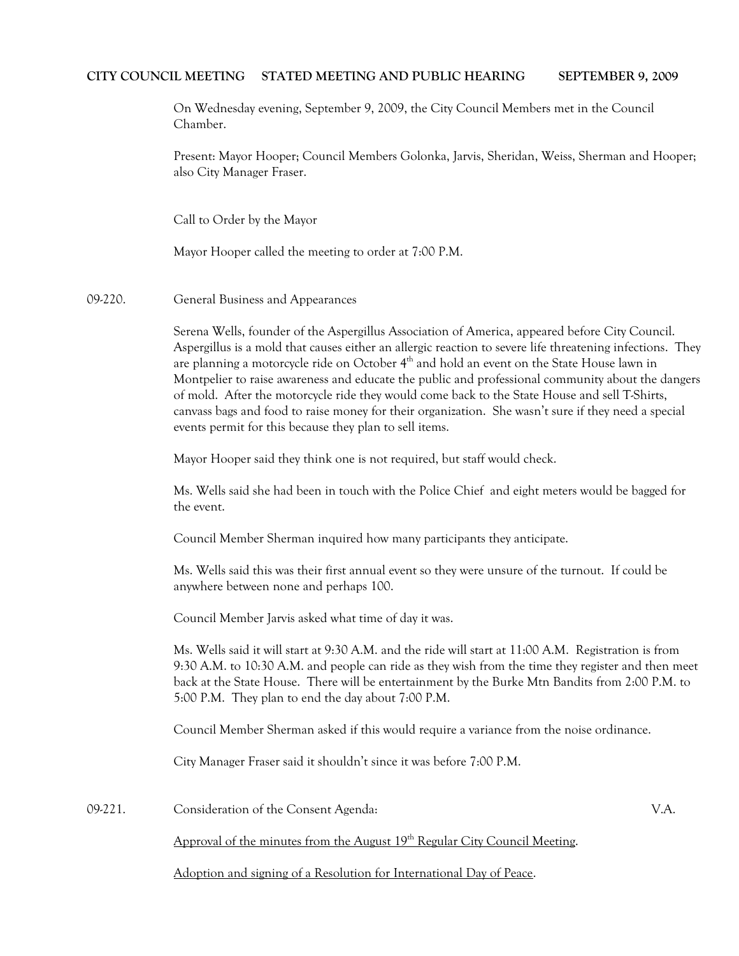## **CITY COUNCIL MEETING STATED MEETING AND PUBLIC HEARING SEPTEMBER 9, 2009**

On Wednesday evening, September 9, 2009, the City Council Members met in the Council Chamber.

Present: Mayor Hooper; Council Members Golonka, Jarvis, Sheridan, Weiss, Sherman and Hooper; also City Manager Fraser.

Call to Order by the Mayor

Mayor Hooper called the meeting to order at 7:00 P.M.

09-220. General Business and Appearances

Serena Wells, founder of the Aspergillus Association of America, appeared before City Council. Aspergillus is a mold that causes either an allergic reaction to severe life threatening infections. They are planning a motorcycle ride on October 4<sup>th</sup> and hold an event on the State House lawn in Montpelier to raise awareness and educate the public and professional community about the dangers of mold. After the motorcycle ride they would come back to the State House and sell T-Shirts, canvass bags and food to raise money for their organization. She wasn't sure if they need a special events permit for this because they plan to sell items.

Mayor Hooper said they think one is not required, but staff would check.

Ms. Wells said she had been in touch with the Police Chief and eight meters would be bagged for the event.

Council Member Sherman inquired how many participants they anticipate.

Ms. Wells said this was their first annual event so they were unsure of the turnout. If could be anywhere between none and perhaps 100.

Council Member Jarvis asked what time of day it was.

Ms. Wells said it will start at 9:30 A.M. and the ride will start at 11:00 A.M. Registration is from 9:30 A.M. to 10:30 A.M. and people can ride as they wish from the time they register and then meet back at the State House. There will be entertainment by the Burke Mtn Bandits from 2:00 P.M. to 5:00 P.M. They plan to end the day about 7:00 P.M.

Council Member Sherman asked if this would require a variance from the noise ordinance.

City Manager Fraser said it shouldn't since it was before 7:00 P.M.

09-221. Consideration of the Consent Agenda: V.A.

Approval of the minutes from the August 19<sup>th</sup> Regular City Council Meeting.

Adoption and signing of a Resolution for International Day of Peace.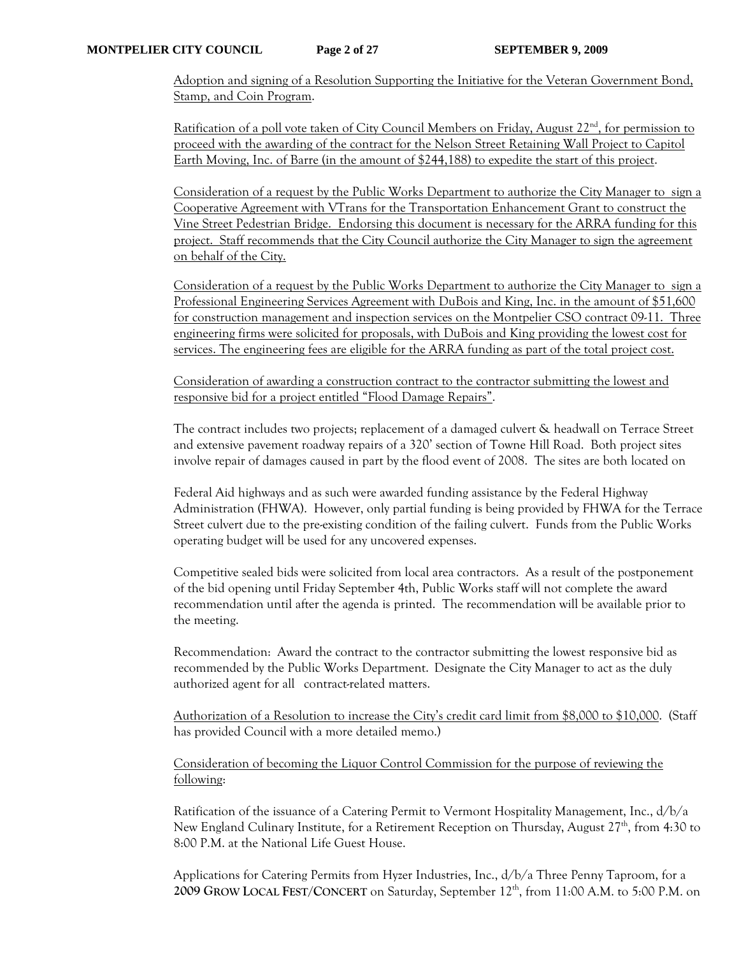Adoption and signing of a Resolution Supporting the Initiative for the Veteran Government Bond, Stamp, and Coin Program.

Ratification of a poll vote taken of City Council Members on Friday, August  $22<sup>nd</sup>$ , for permission to proceed with the awarding of the contract for the Nelson Street Retaining Wall Project to Capitol Earth Moving, Inc. of Barre (in the amount of \$244,188) to expedite the start of this project.

Consideration of a request by the Public Works Department to authorize the City Manager to sign a Cooperative Agreement with VTrans for the Transportation Enhancement Grant to construct the Vine Street Pedestrian Bridge. Endorsing this document is necessary for the ARRA funding for this project. Staff recommends that the City Council authorize the City Manager to sign the agreement on behalf of the City.

Consideration of a request by the Public Works Department to authorize the City Manager to sign a Professional Engineering Services Agreement with DuBois and King, Inc. in the amount of \$51,600 for construction management and inspection services on the Montpelier CSO contract 09-11. Three engineering firms were solicited for proposals, with DuBois and King providing the lowest cost for services. The engineering fees are eligible for the ARRA funding as part of the total project cost.

Consideration of awarding a construction contract to the contractor submitting the lowest and responsive bid for a project entitled "Flood Damage Repairs".

The contract includes two projects; replacement of a damaged culvert & headwall on Terrace Street and extensive pavement roadway repairs of a 320' section of Towne Hill Road. Both project sites involve repair of damages caused in part by the flood event of 2008. The sites are both located on

Federal Aid highways and as such were awarded funding assistance by the Federal Highway Administration (FHWA). However, only partial funding is being provided by FHWA for the Terrace Street culvert due to the pre-existing condition of the failing culvert. Funds from the Public Works operating budget will be used for any uncovered expenses.

Competitive sealed bids were solicited from local area contractors. As a result of the postponement of the bid opening until Friday September 4th, Public Works staff will not complete the award recommendation until after the agenda is printed. The recommendation will be available prior to the meeting.

Recommendation: Award the contract to the contractor submitting the lowest responsive bid as recommended by the Public Works Department. Designate the City Manager to act as the duly authorized agent for all contract-related matters.

Authorization of a Resolution to increase the City's credit card limit from \$8,000 to \$10,000. (Staff has provided Council with a more detailed memo.)

Consideration of becoming the Liquor Control Commission for the purpose of reviewing the following:

Ratification of the issuance of a Catering Permit to Vermont Hospitality Management, Inc., d/b/a New England Culinary Institute, for a Retirement Reception on Thursday, August 27<sup>th</sup>, from 4:30 to 8:00 P.M. at the National Life Guest House.

Applications for Catering Permits from Hyzer Industries, Inc., d/b/a Three Penny Taproom, for a **2009 GROW LOCAL FEST/CONCERT** on Saturday, September 12th, from 11:00 A.M. to 5:00 P.M. on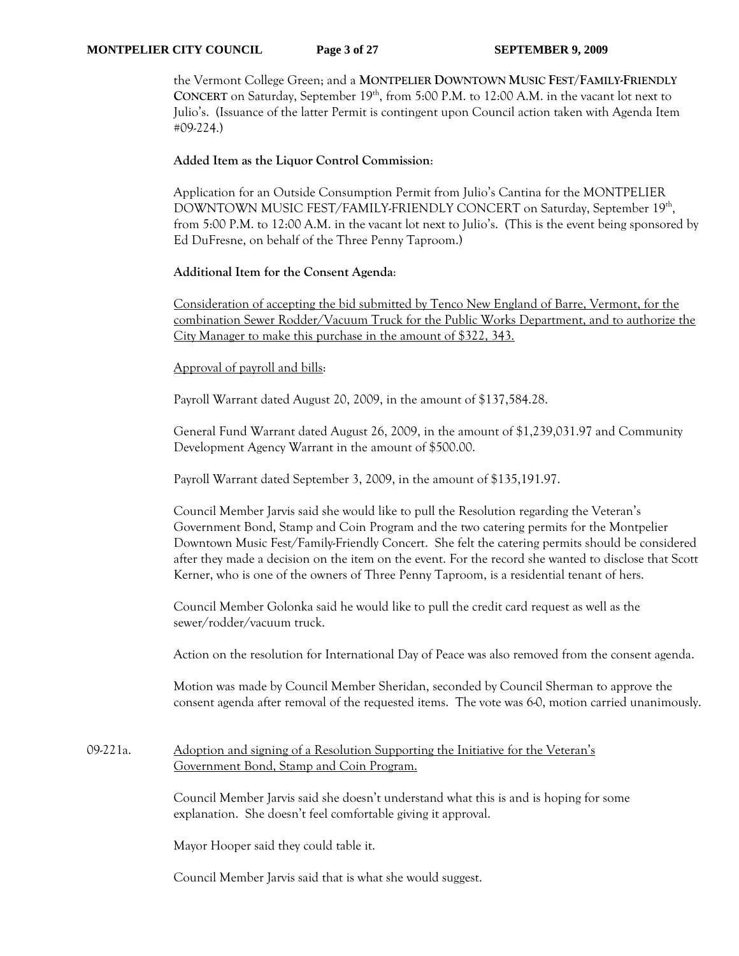the Vermont College Green; and a **MONTPELIER DOWNTOWN MUSIC FEST/FAMILY-FRIENDLY CONCERT** on Saturday, September 19<sup>th</sup>, from 5:00 P.M. to 12:00 A.M. in the vacant lot next to Julio's. (Issuance of the latter Permit is contingent upon Council action taken with Agenda Item #09-224.)

## **Added Item as the Liquor Control Commission**:

Application for an Outside Consumption Permit from Julio's Cantina for the MONTPELIER DOWNTOWN MUSIC FEST/FAMILY-FRIENDLY CONCERT on Saturday, September 19th, from 5:00 P.M. to 12:00 A.M. in the vacant lot next to Julio's. (This is the event being sponsored by Ed DuFresne, on behalf of the Three Penny Taproom.)

### **Additional Item for the Consent Agenda**:

Consideration of accepting the bid submitted by Tenco New England of Barre, Vermont, for the combination Sewer Rodder/Vacuum Truck for the Public Works Department, and to authorize the City Manager to make this purchase in the amount of \$322, 343.

## Approval of payroll and bills:

Payroll Warrant dated August 20, 2009, in the amount of \$137,584.28.

General Fund Warrant dated August 26, 2009, in the amount of \$1,239,031.97 and Community Development Agency Warrant in the amount of \$500.00.

Payroll Warrant dated September 3, 2009, in the amount of \$135,191.97.

Council Member Jarvis said she would like to pull the Resolution regarding the Veteran's Government Bond, Stamp and Coin Program and the two catering permits for the Montpelier Downtown Music Fest/Family-Friendly Concert. She felt the catering permits should be considered after they made a decision on the item on the event. For the record she wanted to disclose that Scott Kerner, who is one of the owners of Three Penny Taproom, is a residential tenant of hers.

Council Member Golonka said he would like to pull the credit card request as well as the sewer/rodder/vacuum truck.

Action on the resolution for International Day of Peace was also removed from the consent agenda.

Motion was made by Council Member Sheridan, seconded by Council Sherman to approve the consent agenda after removal of the requested items. The vote was 6-0, motion carried unanimously.

# 09-221a. Adoption and signing of a Resolution Supporting the Initiative for the Veteran's Government Bond, Stamp and Coin Program.

Council Member Jarvis said she doesn't understand what this is and is hoping for some explanation. She doesn't feel comfortable giving it approval.

Mayor Hooper said they could table it.

Council Member Jarvis said that is what she would suggest.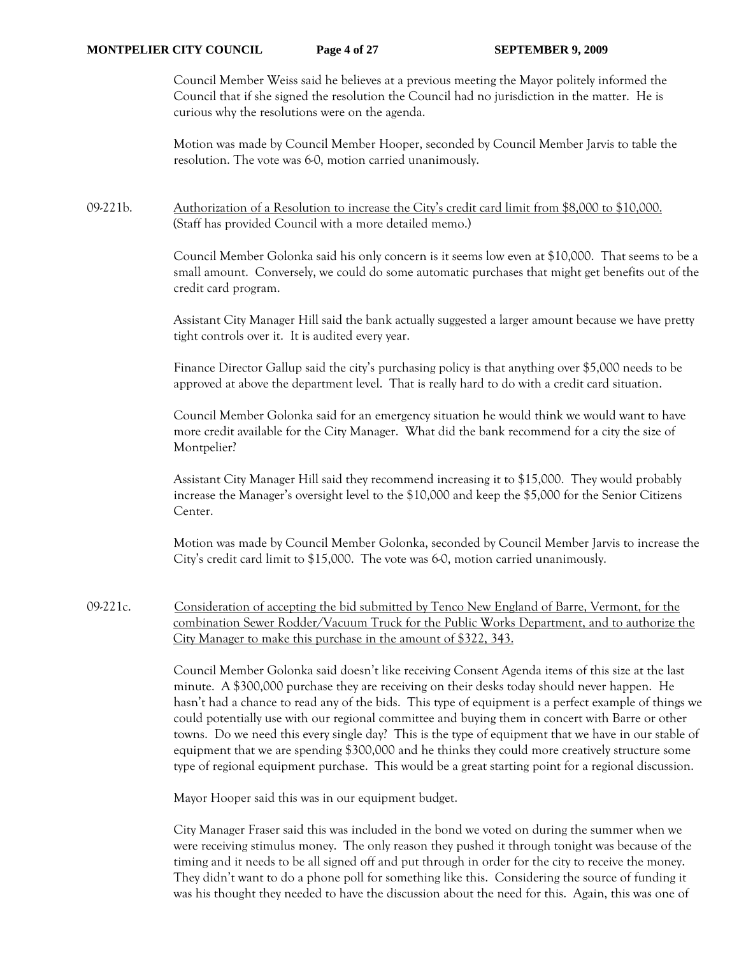Council Member Weiss said he believes at a previous meeting the Mayor politely informed the Council that if she signed the resolution the Council had no jurisdiction in the matter. He is curious why the resolutions were on the agenda.

Motion was made by Council Member Hooper, seconded by Council Member Jarvis to table the resolution. The vote was 6-0, motion carried unanimously.

## 09-221b. Authorization of a Resolution to increase the City's credit card limit from \$8,000 to \$10,000. (Staff has provided Council with a more detailed memo.)

Council Member Golonka said his only concern is it seems low even at \$10,000. That seems to be a small amount. Conversely, we could do some automatic purchases that might get benefits out of the credit card program.

Assistant City Manager Hill said the bank actually suggested a larger amount because we have pretty tight controls over it. It is audited every year.

Finance Director Gallup said the city's purchasing policy is that anything over \$5,000 needs to be approved at above the department level. That is really hard to do with a credit card situation.

Council Member Golonka said for an emergency situation he would think we would want to have more credit available for the City Manager. What did the bank recommend for a city the size of Montpelier?

Assistant City Manager Hill said they recommend increasing it to \$15,000. They would probably increase the Manager's oversight level to the \$10,000 and keep the \$5,000 for the Senior Citizens Center.

Motion was made by Council Member Golonka, seconded by Council Member Jarvis to increase the City's credit card limit to \$15,000. The vote was 6-0, motion carried unanimously.

09-221c. Consideration of accepting the bid submitted by Tenco New England of Barre, Vermont, for the combination Sewer Rodder/Vacuum Truck for the Public Works Department, and to authorize the City Manager to make this purchase in the amount of \$322, 343.

> Council Member Golonka said doesn't like receiving Consent Agenda items of this size at the last minute. A \$300,000 purchase they are receiving on their desks today should never happen. He hasn't had a chance to read any of the bids. This type of equipment is a perfect example of things we could potentially use with our regional committee and buying them in concert with Barre or other towns. Do we need this every single day? This is the type of equipment that we have in our stable of equipment that we are spending \$300,000 and he thinks they could more creatively structure some type of regional equipment purchase. This would be a great starting point for a regional discussion.

Mayor Hooper said this was in our equipment budget.

City Manager Fraser said this was included in the bond we voted on during the summer when we were receiving stimulus money. The only reason they pushed it through tonight was because of the timing and it needs to be all signed off and put through in order for the city to receive the money. They didn't want to do a phone poll for something like this. Considering the source of funding it was his thought they needed to have the discussion about the need for this. Again, this was one of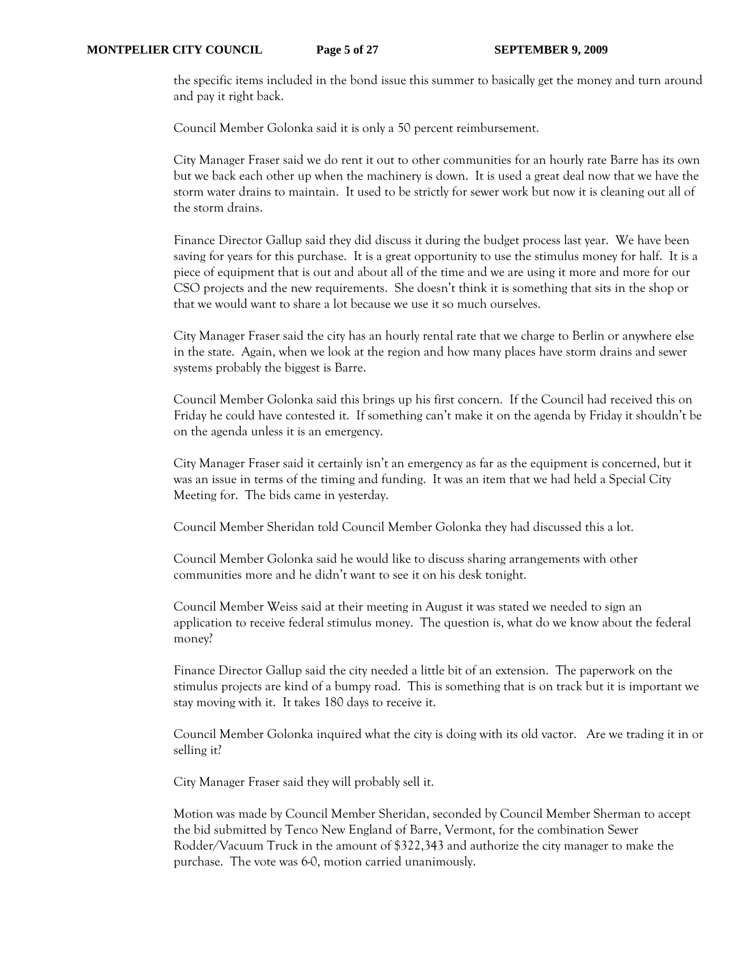the specific items included in the bond issue this summer to basically get the money and turn around and pay it right back.

Council Member Golonka said it is only a 50 percent reimbursement.

City Manager Fraser said we do rent it out to other communities for an hourly rate Barre has its own but we back each other up when the machinery is down. It is used a great deal now that we have the storm water drains to maintain. It used to be strictly for sewer work but now it is cleaning out all of the storm drains.

Finance Director Gallup said they did discuss it during the budget process last year. We have been saving for years for this purchase. It is a great opportunity to use the stimulus money for half. It is a piece of equipment that is out and about all of the time and we are using it more and more for our CSO projects and the new requirements. She doesn't think it is something that sits in the shop or that we would want to share a lot because we use it so much ourselves.

City Manager Fraser said the city has an hourly rental rate that we charge to Berlin or anywhere else in the state. Again, when we look at the region and how many places have storm drains and sewer systems probably the biggest is Barre.

Council Member Golonka said this brings up his first concern. If the Council had received this on Friday he could have contested it. If something can't make it on the agenda by Friday it shouldn't be on the agenda unless it is an emergency.

City Manager Fraser said it certainly isn't an emergency as far as the equipment is concerned, but it was an issue in terms of the timing and funding. It was an item that we had held a Special City Meeting for. The bids came in yesterday.

Council Member Sheridan told Council Member Golonka they had discussed this a lot.

Council Member Golonka said he would like to discuss sharing arrangements with other communities more and he didn't want to see it on his desk tonight.

Council Member Weiss said at their meeting in August it was stated we needed to sign an application to receive federal stimulus money. The question is, what do we know about the federal money?

Finance Director Gallup said the city needed a little bit of an extension. The paperwork on the stimulus projects are kind of a bumpy road. This is something that is on track but it is important we stay moving with it. It takes 180 days to receive it.

Council Member Golonka inquired what the city is doing with its old vactor. Are we trading it in or selling it?

City Manager Fraser said they will probably sell it.

Motion was made by Council Member Sheridan, seconded by Council Member Sherman to accept the bid submitted by Tenco New England of Barre, Vermont, for the combination Sewer Rodder/Vacuum Truck in the amount of \$322,343 and authorize the city manager to make the purchase. The vote was 6-0, motion carried unanimously.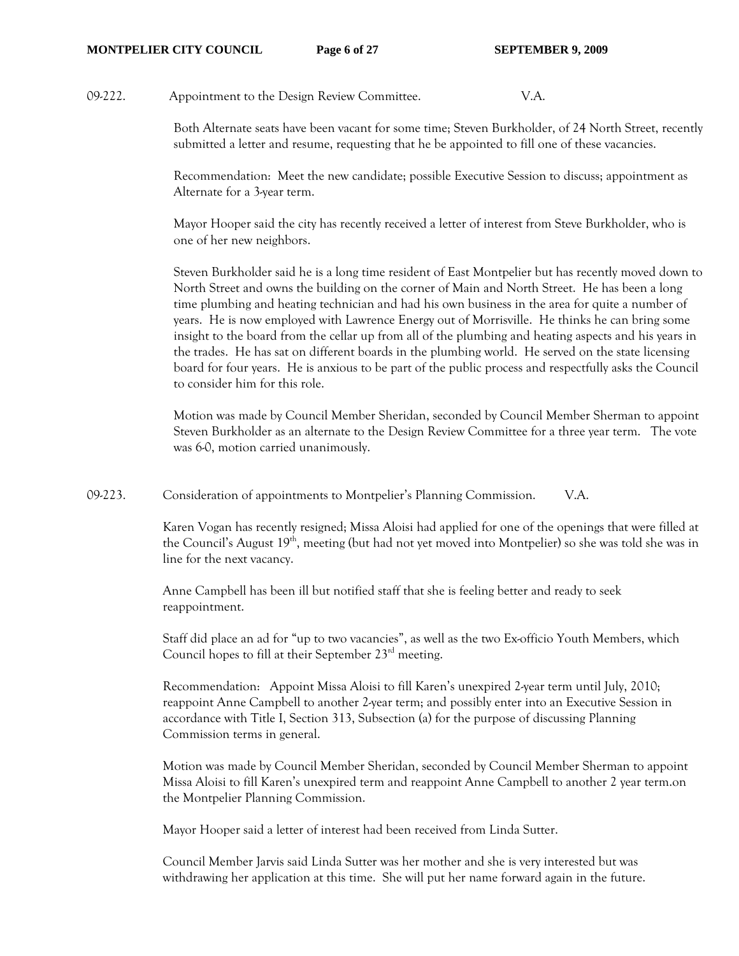#### **MONTPELIER CITY COUNCIL Page 6 of 27 SEPTEMBER 9, 2009**

09-222. Appointment to the Design Review Committee. V.A.

Both Alternate seats have been vacant for some time; Steven Burkholder, of 24 North Street, recently submitted a letter and resume, requesting that he be appointed to fill one of these vacancies.

Recommendation: Meet the new candidate; possible Executive Session to discuss; appointment as Alternate for a 3-year term.

Mayor Hooper said the city has recently received a letter of interest from Steve Burkholder, who is one of her new neighbors.

Steven Burkholder said he is a long time resident of East Montpelier but has recently moved down to North Street and owns the building on the corner of Main and North Street. He has been a long time plumbing and heating technician and had his own business in the area for quite a number of years. He is now employed with Lawrence Energy out of Morrisville. He thinks he can bring some insight to the board from the cellar up from all of the plumbing and heating aspects and his years in the trades. He has sat on different boards in the plumbing world. He served on the state licensing board for four years. He is anxious to be part of the public process and respectfully asks the Council to consider him for this role.

Motion was made by Council Member Sheridan, seconded by Council Member Sherman to appoint Steven Burkholder as an alternate to the Design Review Committee for a three year term. The vote was 6-0, motion carried unanimously.

09-223. Consideration of appointments to Montpelier's Planning Commission. V.A.

Karen Vogan has recently resigned; Missa Aloisi had applied for one of the openings that were filled at the Council's August 19<sup>th</sup>, meeting (but had not yet moved into Montpelier) so she was told she was in line for the next vacancy.

Anne Campbell has been ill but notified staff that she is feeling better and ready to seek reappointment.

Staff did place an ad for "up to two vacancies", as well as the two Ex-officio Youth Members, which Council hopes to fill at their September  $23<sup>rd</sup>$  meeting.

Recommendation: Appoint Missa Aloisi to fill Karen's unexpired 2-year term until July, 2010; reappoint Anne Campbell to another 2-year term; and possibly enter into an Executive Session in accordance with Title I, Section 313, Subsection (a) for the purpose of discussing Planning Commission terms in general.

Motion was made by Council Member Sheridan, seconded by Council Member Sherman to appoint Missa Aloisi to fill Karen's unexpired term and reappoint Anne Campbell to another 2 year term.on the Montpelier Planning Commission.

Mayor Hooper said a letter of interest had been received from Linda Sutter.

Council Member Jarvis said Linda Sutter was her mother and she is very interested but was withdrawing her application at this time. She will put her name forward again in the future.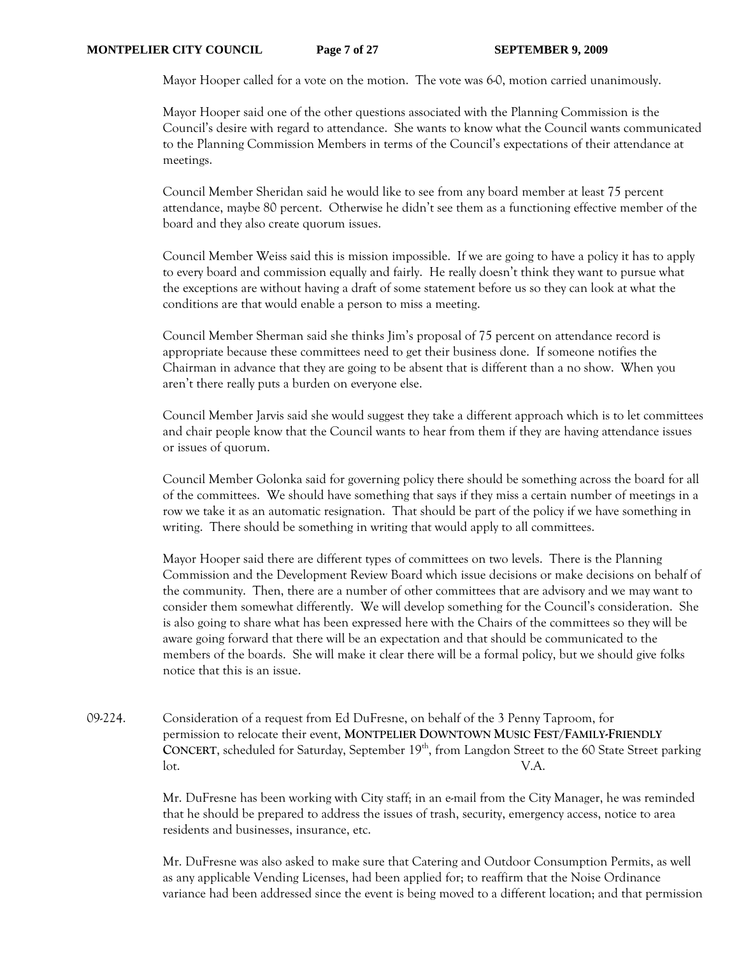#### **MONTPELIER CITY COUNCIL Page 7 of 27 SEPTEMBER 9, 2009**

Mayor Hooper called for a vote on the motion. The vote was 6-0, motion carried unanimously.

Mayor Hooper said one of the other questions associated with the Planning Commission is the Council's desire with regard to attendance. She wants to know what the Council wants communicated to the Planning Commission Members in terms of the Council's expectations of their attendance at meetings.

Council Member Sheridan said he would like to see from any board member at least 75 percent attendance, maybe 80 percent. Otherwise he didn't see them as a functioning effective member of the board and they also create quorum issues.

Council Member Weiss said this is mission impossible. If we are going to have a policy it has to apply to every board and commission equally and fairly. He really doesn't think they want to pursue what the exceptions are without having a draft of some statement before us so they can look at what the conditions are that would enable a person to miss a meeting.

Council Member Sherman said she thinks Jim's proposal of 75 percent on attendance record is appropriate because these committees need to get their business done. If someone notifies the Chairman in advance that they are going to be absent that is different than a no show. When you aren't there really puts a burden on everyone else.

Council Member Jarvis said she would suggest they take a different approach which is to let committees and chair people know that the Council wants to hear from them if they are having attendance issues or issues of quorum.

Council Member Golonka said for governing policy there should be something across the board for all of the committees. We should have something that says if they miss a certain number of meetings in a row we take it as an automatic resignation. That should be part of the policy if we have something in writing. There should be something in writing that would apply to all committees.

Mayor Hooper said there are different types of committees on two levels. There is the Planning Commission and the Development Review Board which issue decisions or make decisions on behalf of the community. Then, there are a number of other committees that are advisory and we may want to consider them somewhat differently. We will develop something for the Council's consideration. She is also going to share what has been expressed here with the Chairs of the committees so they will be aware going forward that there will be an expectation and that should be communicated to the members of the boards. She will make it clear there will be a formal policy, but we should give folks notice that this is an issue.

09-224. Consideration of a request from Ed DuFresne, on behalf of the 3 Penny Taproom, for permission to relocate their event, **MONTPELIER DOWNTOWN MUSIC FEST/FAMILY-FRIENDLY**  CONCERT, scheduled for Saturday, September 19<sup>th</sup>, from Langdon Street to the 60 State Street parking lot. V.A.

> Mr. DuFresne has been working with City staff; in an e-mail from the City Manager, he was reminded that he should be prepared to address the issues of trash, security, emergency access, notice to area residents and businesses, insurance, etc.

> Mr. DuFresne was also asked to make sure that Catering and Outdoor Consumption Permits, as well as any applicable Vending Licenses, had been applied for; to reaffirm that the Noise Ordinance variance had been addressed since the event is being moved to a different location; and that permission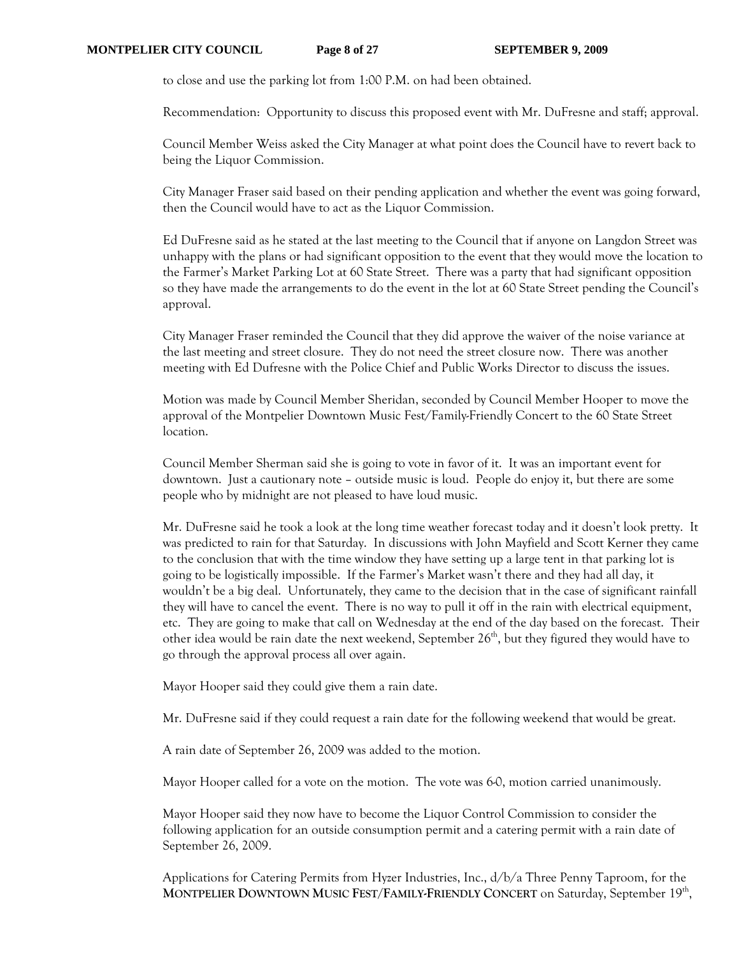to close and use the parking lot from 1:00 P.M. on had been obtained.

Recommendation: Opportunity to discuss this proposed event with Mr. DuFresne and staff; approval.

Council Member Weiss asked the City Manager at what point does the Council have to revert back to being the Liquor Commission.

City Manager Fraser said based on their pending application and whether the event was going forward, then the Council would have to act as the Liquor Commission.

Ed DuFresne said as he stated at the last meeting to the Council that if anyone on Langdon Street was unhappy with the plans or had significant opposition to the event that they would move the location to the Farmer's Market Parking Lot at 60 State Street. There was a party that had significant opposition so they have made the arrangements to do the event in the lot at 60 State Street pending the Council's approval.

City Manager Fraser reminded the Council that they did approve the waiver of the noise variance at the last meeting and street closure. They do not need the street closure now. There was another meeting with Ed Dufresne with the Police Chief and Public Works Director to discuss the issues.

Motion was made by Council Member Sheridan, seconded by Council Member Hooper to move the approval of the Montpelier Downtown Music Fest/Family-Friendly Concert to the 60 State Street location.

Council Member Sherman said she is going to vote in favor of it. It was an important event for downtown. Just a cautionary note – outside music is loud. People do enjoy it, but there are some people who by midnight are not pleased to have loud music.

Mr. DuFresne said he took a look at the long time weather forecast today and it doesn't look pretty. It was predicted to rain for that Saturday. In discussions with John Mayfield and Scott Kerner they came to the conclusion that with the time window they have setting up a large tent in that parking lot is going to be logistically impossible. If the Farmer's Market wasn't there and they had all day, it wouldn't be a big deal. Unfortunately, they came to the decision that in the case of significant rainfall they will have to cancel the event. There is no way to pull it off in the rain with electrical equipment, etc. They are going to make that call on Wednesday at the end of the day based on the forecast. Their other idea would be rain date the next weekend, September  $26<sup>th</sup>$ , but they figured they would have to go through the approval process all over again.

Mayor Hooper said they could give them a rain date.

Mr. DuFresne said if they could request a rain date for the following weekend that would be great.

A rain date of September 26, 2009 was added to the motion.

Mayor Hooper called for a vote on the motion. The vote was 6-0, motion carried unanimously.

Mayor Hooper said they now have to become the Liquor Control Commission to consider the following application for an outside consumption permit and a catering permit with a rain date of September 26, 2009.

Applications for Catering Permits from Hyzer Industries, Inc., d/b/a Three Penny Taproom, for the **MONTPELIER DOWNTOWN MUSIC FEST/FAMILY-FRIENDLY CONCERT** on Saturday, September 19<sup>th</sup>,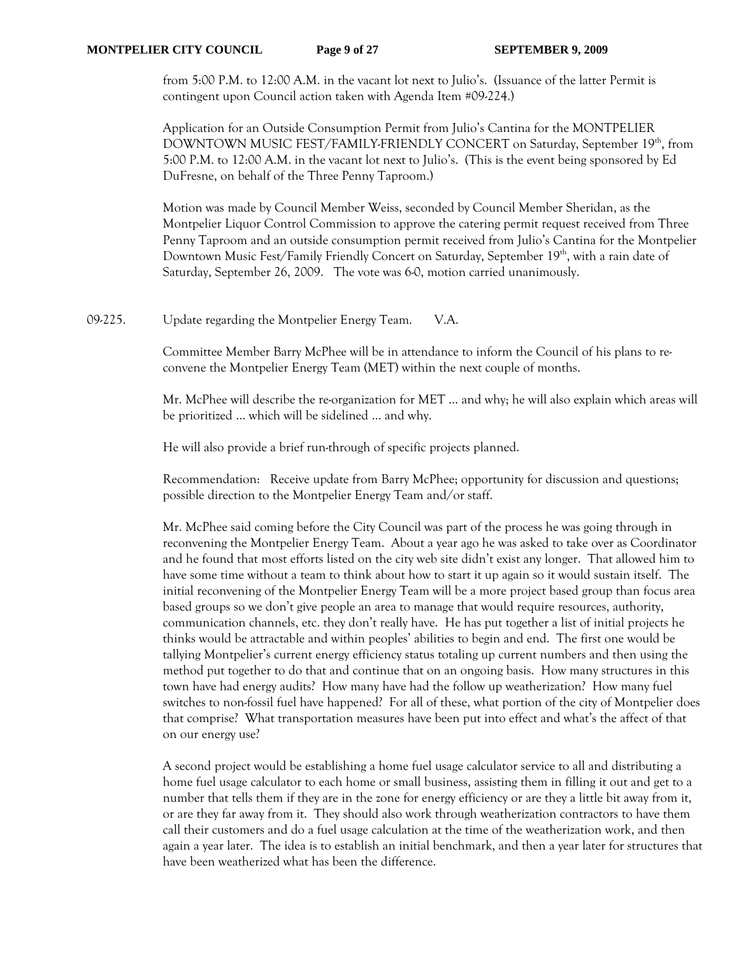from 5:00 P.M. to 12:00 A.M. in the vacant lot next to Julio's. (Issuance of the latter Permit is contingent upon Council action taken with Agenda Item #09-224.)

Application for an Outside Consumption Permit from Julio's Cantina for the MONTPELIER DOWNTOWN MUSIC FEST/FAMILY-FRIENDLY CONCERT on Saturday, September 19th, from 5:00 P.M. to 12:00 A.M. in the vacant lot next to Julio's. (This is the event being sponsored by Ed DuFresne, on behalf of the Three Penny Taproom.)

Motion was made by Council Member Weiss, seconded by Council Member Sheridan, as the Montpelier Liquor Control Commission to approve the catering permit request received from Three Penny Taproom and an outside consumption permit received from Julio's Cantina for the Montpelier Downtown Music Fest/Family Friendly Concert on Saturday, September 19th, with a rain date of Saturday, September 26, 2009. The vote was 6-0, motion carried unanimously.

09-225. Update regarding the Montpelier Energy Team. V.A.

Committee Member Barry McPhee will be in attendance to inform the Council of his plans to reconvene the Montpelier Energy Team (MET) within the next couple of months.

Mr. McPhee will describe the re-organization for MET … and why; he will also explain which areas will be prioritized … which will be sidelined … and why.

He will also provide a brief run-through of specific projects planned.

Recommendation: Receive update from Barry McPhee; opportunity for discussion and questions; possible direction to the Montpelier Energy Team and/or staff.

Mr. McPhee said coming before the City Council was part of the process he was going through in reconvening the Montpelier Energy Team. About a year ago he was asked to take over as Coordinator and he found that most efforts listed on the city web site didn't exist any longer. That allowed him to have some time without a team to think about how to start it up again so it would sustain itself. The initial reconvening of the Montpelier Energy Team will be a more project based group than focus area based groups so we don't give people an area to manage that would require resources, authority, communication channels, etc. they don't really have. He has put together a list of initial projects he thinks would be attractable and within peoples' abilities to begin and end. The first one would be tallying Montpelier's current energy efficiency status totaling up current numbers and then using the method put together to do that and continue that on an ongoing basis. How many structures in this town have had energy audits? How many have had the follow up weatherization? How many fuel switches to non-fossil fuel have happened? For all of these, what portion of the city of Montpelier does that comprise? What transportation measures have been put into effect and what's the affect of that on our energy use?

A second project would be establishing a home fuel usage calculator service to all and distributing a home fuel usage calculator to each home or small business, assisting them in filling it out and get to a number that tells them if they are in the zone for energy efficiency or are they a little bit away from it, or are they far away from it. They should also work through weatherization contractors to have them call their customers and do a fuel usage calculation at the time of the weatherization work, and then again a year later. The idea is to establish an initial benchmark, and then a year later for structures that have been weatherized what has been the difference.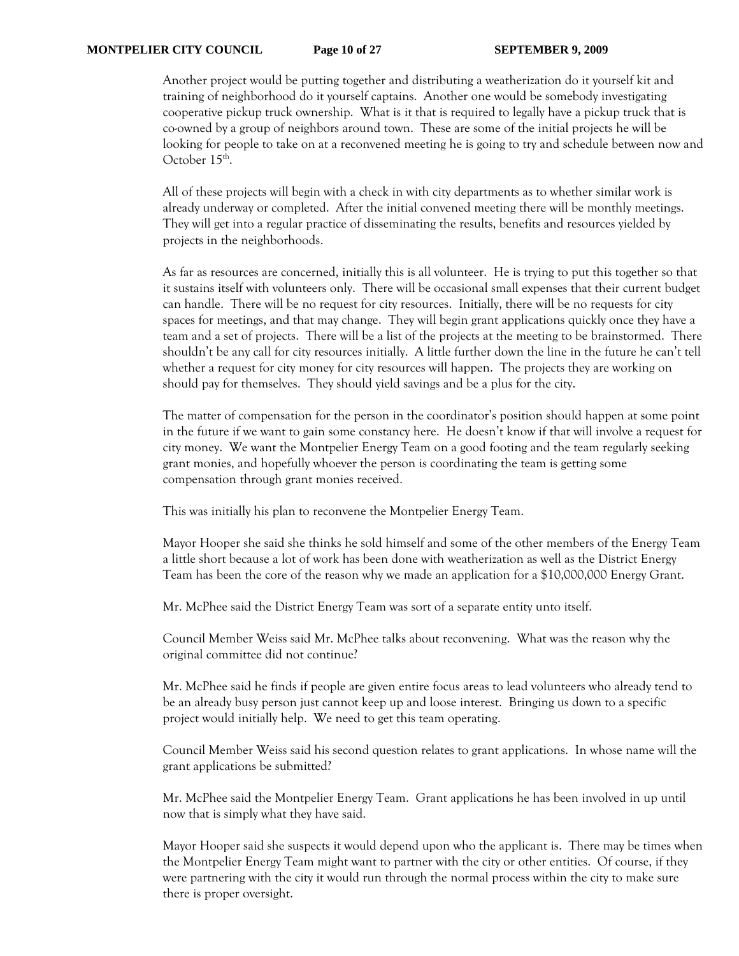Another project would be putting together and distributing a weatherization do it yourself kit and training of neighborhood do it yourself captains. Another one would be somebody investigating cooperative pickup truck ownership. What is it that is required to legally have a pickup truck that is co-owned by a group of neighbors around town. These are some of the initial projects he will be looking for people to take on at a reconvened meeting he is going to try and schedule between now and October 15<sup>th</sup>.

All of these projects will begin with a check in with city departments as to whether similar work is already underway or completed. After the initial convened meeting there will be monthly meetings. They will get into a regular practice of disseminating the results, benefits and resources yielded by projects in the neighborhoods.

As far as resources are concerned, initially this is all volunteer. He is trying to put this together so that it sustains itself with volunteers only. There will be occasional small expenses that their current budget can handle. There will be no request for city resources. Initially, there will be no requests for city spaces for meetings, and that may change. They will begin grant applications quickly once they have a team and a set of projects. There will be a list of the projects at the meeting to be brainstormed. There shouldn't be any call for city resources initially. A little further down the line in the future he can't tell whether a request for city money for city resources will happen. The projects they are working on should pay for themselves. They should yield savings and be a plus for the city.

The matter of compensation for the person in the coordinator's position should happen at some point in the future if we want to gain some constancy here. He doesn't know if that will involve a request for city money. We want the Montpelier Energy Team on a good footing and the team regularly seeking grant monies, and hopefully whoever the person is coordinating the team is getting some compensation through grant monies received.

This was initially his plan to reconvene the Montpelier Energy Team.

Mayor Hooper she said she thinks he sold himself and some of the other members of the Energy Team a little short because a lot of work has been done with weatherization as well as the District Energy Team has been the core of the reason why we made an application for a \$10,000,000 Energy Grant.

Mr. McPhee said the District Energy Team was sort of a separate entity unto itself.

Council Member Weiss said Mr. McPhee talks about reconvening. What was the reason why the original committee did not continue?

Mr. McPhee said he finds if people are given entire focus areas to lead volunteers who already tend to be an already busy person just cannot keep up and loose interest. Bringing us down to a specific project would initially help. We need to get this team operating.

Council Member Weiss said his second question relates to grant applications. In whose name will the grant applications be submitted?

Mr. McPhee said the Montpelier Energy Team. Grant applications he has been involved in up until now that is simply what they have said.

Mayor Hooper said she suspects it would depend upon who the applicant is. There may be times when the Montpelier Energy Team might want to partner with the city or other entities. Of course, if they were partnering with the city it would run through the normal process within the city to make sure there is proper oversight.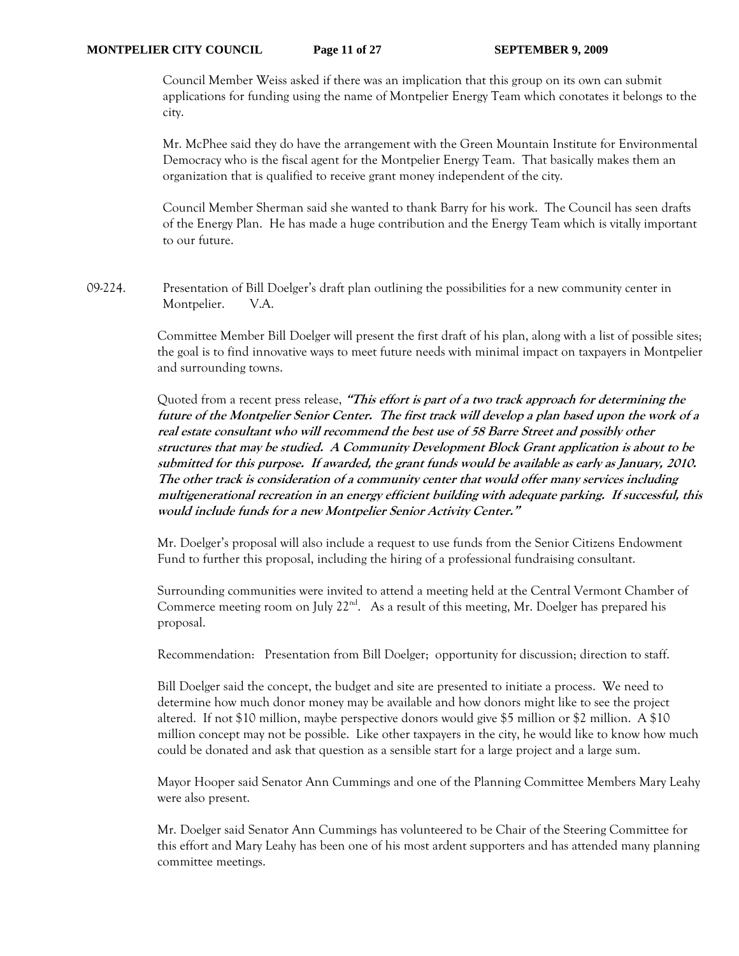Council Member Weiss asked if there was an implication that this group on its own can submit applications for funding using the name of Montpelier Energy Team which conotates it belongs to the city.

Mr. McPhee said they do have the arrangement with the Green Mountain Institute for Environmental Democracy who is the fiscal agent for the Montpelier Energy Team. That basically makes them an organization that is qualified to receive grant money independent of the city.

Council Member Sherman said she wanted to thank Barry for his work. The Council has seen drafts of the Energy Plan. He has made a huge contribution and the Energy Team which is vitally important to our future.

09-224. Presentation of Bill Doelger's draft plan outlining the possibilities for a new community center in Montpelier. V.A.

> Committee Member Bill Doelger will present the first draft of his plan, along with a list of possible sites; the goal is to find innovative ways to meet future needs with minimal impact on taxpayers in Montpelier and surrounding towns.

> Quoted from a recent press release, **"This effort is part of a two track approach for determining the future of the Montpelier Senior Center. The first track will develop a plan based upon the work of a real estate consultant who will recommend the best use of 58 Barre Street and possibly other structures that may be studied. A Community Development Block Grant application is about to be submitted for this purpose. If awarded, the grant funds would be available as early as January, 2010. The other track is consideration of a community center that would offer many services including multigenerational recreation in an energy efficient building with adequate parking. If successful, this would include funds for a new Montpelier Senior Activity Center."**

Mr. Doelger's proposal will also include a request to use funds from the Senior Citizens Endowment Fund to further this proposal, including the hiring of a professional fundraising consultant.

Surrounding communities were invited to attend a meeting held at the Central Vermont Chamber of Commerce meeting room on July  $22^{nd}$ . As a result of this meeting, Mr. Doelger has prepared his proposal.

Recommendation: Presentation from Bill Doelger; opportunity for discussion; direction to staff.

Bill Doelger said the concept, the budget and site are presented to initiate a process. We need to determine how much donor money may be available and how donors might like to see the project altered. If not \$10 million, maybe perspective donors would give \$5 million or \$2 million. A \$10 million concept may not be possible. Like other taxpayers in the city, he would like to know how much could be donated and ask that question as a sensible start for a large project and a large sum.

Mayor Hooper said Senator Ann Cummings and one of the Planning Committee Members Mary Leahy were also present.

Mr. Doelger said Senator Ann Cummings has volunteered to be Chair of the Steering Committee for this effort and Mary Leahy has been one of his most ardent supporters and has attended many planning committee meetings.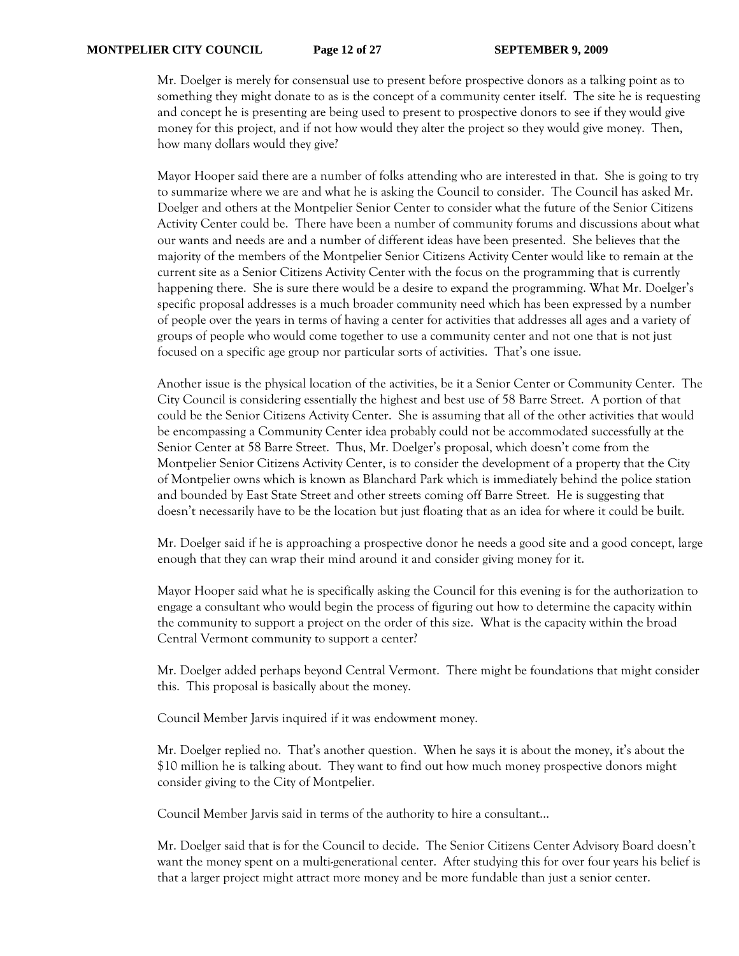Mr. Doelger is merely for consensual use to present before prospective donors as a talking point as to something they might donate to as is the concept of a community center itself. The site he is requesting and concept he is presenting are being used to present to prospective donors to see if they would give money for this project, and if not how would they alter the project so they would give money. Then, how many dollars would they give?

Mayor Hooper said there are a number of folks attending who are interested in that. She is going to try to summarize where we are and what he is asking the Council to consider. The Council has asked Mr. Doelger and others at the Montpelier Senior Center to consider what the future of the Senior Citizens Activity Center could be. There have been a number of community forums and discussions about what our wants and needs are and a number of different ideas have been presented. She believes that the majority of the members of the Montpelier Senior Citizens Activity Center would like to remain at the current site as a Senior Citizens Activity Center with the focus on the programming that is currently happening there. She is sure there would be a desire to expand the programming. What Mr. Doelger's specific proposal addresses is a much broader community need which has been expressed by a number of people over the years in terms of having a center for activities that addresses all ages and a variety of groups of people who would come together to use a community center and not one that is not just focused on a specific age group nor particular sorts of activities. That's one issue.

Another issue is the physical location of the activities, be it a Senior Center or Community Center. The City Council is considering essentially the highest and best use of 58 Barre Street. A portion of that could be the Senior Citizens Activity Center. She is assuming that all of the other activities that would be encompassing a Community Center idea probably could not be accommodated successfully at the Senior Center at 58 Barre Street. Thus, Mr. Doelger's proposal, which doesn't come from the Montpelier Senior Citizens Activity Center, is to consider the development of a property that the City of Montpelier owns which is known as Blanchard Park which is immediately behind the police station and bounded by East State Street and other streets coming off Barre Street. He is suggesting that doesn't necessarily have to be the location but just floating that as an idea for where it could be built.

Mr. Doelger said if he is approaching a prospective donor he needs a good site and a good concept, large enough that they can wrap their mind around it and consider giving money for it.

Mayor Hooper said what he is specifically asking the Council for this evening is for the authorization to engage a consultant who would begin the process of figuring out how to determine the capacity within the community to support a project on the order of this size. What is the capacity within the broad Central Vermont community to support a center?

Mr. Doelger added perhaps beyond Central Vermont. There might be foundations that might consider this. This proposal is basically about the money.

Council Member Jarvis inquired if it was endowment money.

Mr. Doelger replied no. That's another question. When he says it is about the money, it's about the \$10 million he is talking about. They want to find out how much money prospective donors might consider giving to the City of Montpelier.

Council Member Jarvis said in terms of the authority to hire a consultant…

Mr. Doelger said that is for the Council to decide. The Senior Citizens Center Advisory Board doesn't want the money spent on a multi-generational center. After studying this for over four years his belief is that a larger project might attract more money and be more fundable than just a senior center.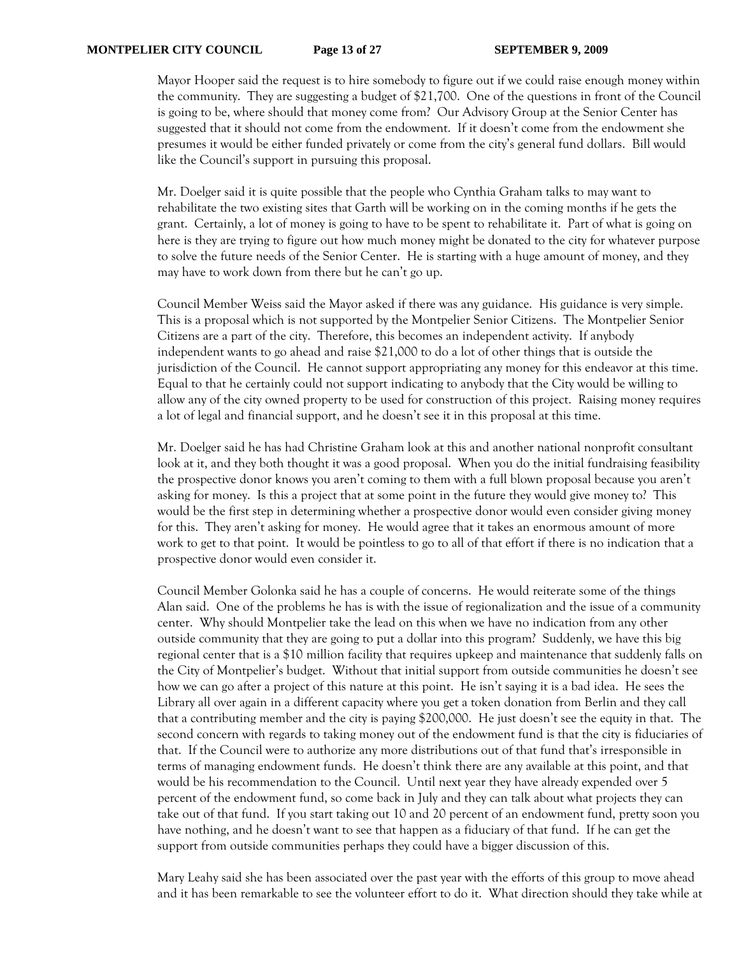Mayor Hooper said the request is to hire somebody to figure out if we could raise enough money within the community. They are suggesting a budget of \$21,700. One of the questions in front of the Council is going to be, where should that money come from? Our Advisory Group at the Senior Center has suggested that it should not come from the endowment. If it doesn't come from the endowment she presumes it would be either funded privately or come from the city's general fund dollars. Bill would like the Council's support in pursuing this proposal.

Mr. Doelger said it is quite possible that the people who Cynthia Graham talks to may want to rehabilitate the two existing sites that Garth will be working on in the coming months if he gets the grant. Certainly, a lot of money is going to have to be spent to rehabilitate it. Part of what is going on here is they are trying to figure out how much money might be donated to the city for whatever purpose to solve the future needs of the Senior Center. He is starting with a huge amount of money, and they may have to work down from there but he can't go up.

Council Member Weiss said the Mayor asked if there was any guidance. His guidance is very simple. This is a proposal which is not supported by the Montpelier Senior Citizens. The Montpelier Senior Citizens are a part of the city. Therefore, this becomes an independent activity. If anybody independent wants to go ahead and raise \$21,000 to do a lot of other things that is outside the jurisdiction of the Council. He cannot support appropriating any money for this endeavor at this time. Equal to that he certainly could not support indicating to anybody that the City would be willing to allow any of the city owned property to be used for construction of this project. Raising money requires a lot of legal and financial support, and he doesn't see it in this proposal at this time.

Mr. Doelger said he has had Christine Graham look at this and another national nonprofit consultant look at it, and they both thought it was a good proposal. When you do the initial fundraising feasibility the prospective donor knows you aren't coming to them with a full blown proposal because you aren't asking for money. Is this a project that at some point in the future they would give money to? This would be the first step in determining whether a prospective donor would even consider giving money for this. They aren't asking for money. He would agree that it takes an enormous amount of more work to get to that point. It would be pointless to go to all of that effort if there is no indication that a prospective donor would even consider it.

Council Member Golonka said he has a couple of concerns. He would reiterate some of the things Alan said. One of the problems he has is with the issue of regionalization and the issue of a community center. Why should Montpelier take the lead on this when we have no indication from any other outside community that they are going to put a dollar into this program? Suddenly, we have this big regional center that is a \$10 million facility that requires upkeep and maintenance that suddenly falls on the City of Montpelier's budget. Without that initial support from outside communities he doesn't see how we can go after a project of this nature at this point. He isn't saying it is a bad idea. He sees the Library all over again in a different capacity where you get a token donation from Berlin and they call that a contributing member and the city is paying \$200,000. He just doesn't see the equity in that. The second concern with regards to taking money out of the endowment fund is that the city is fiduciaries of that. If the Council were to authorize any more distributions out of that fund that's irresponsible in terms of managing endowment funds. He doesn't think there are any available at this point, and that would be his recommendation to the Council. Until next year they have already expended over 5 percent of the endowment fund, so come back in July and they can talk about what projects they can take out of that fund. If you start taking out 10 and 20 percent of an endowment fund, pretty soon you have nothing, and he doesn't want to see that happen as a fiduciary of that fund. If he can get the support from outside communities perhaps they could have a bigger discussion of this.

Mary Leahy said she has been associated over the past year with the efforts of this group to move ahead and it has been remarkable to see the volunteer effort to do it. What direction should they take while at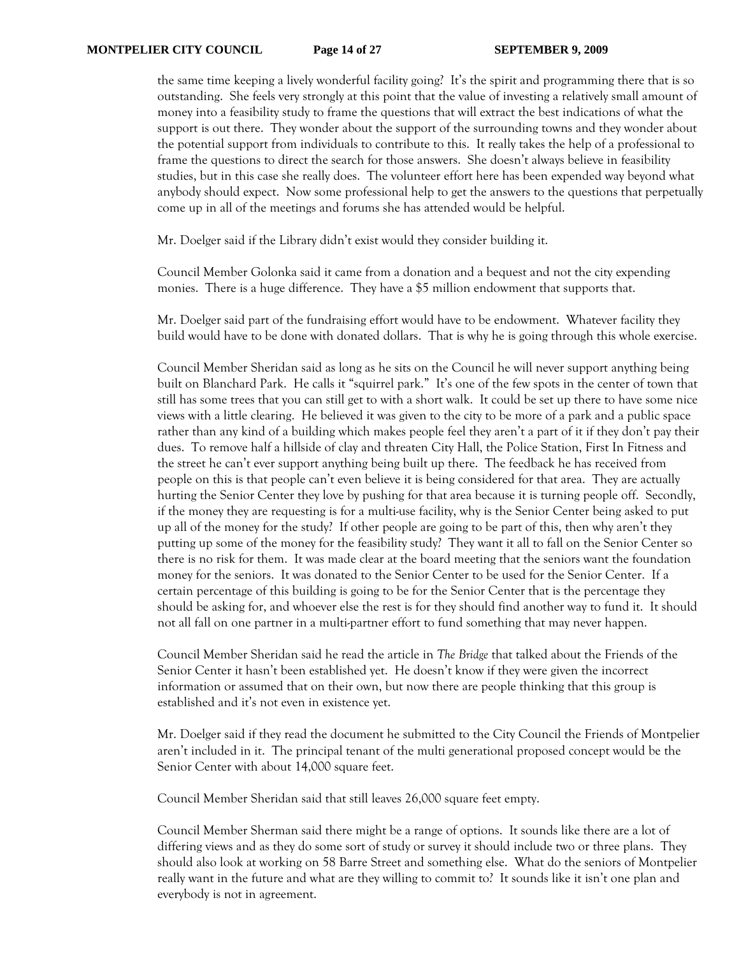the same time keeping a lively wonderful facility going? It's the spirit and programming there that is so outstanding. She feels very strongly at this point that the value of investing a relatively small amount of money into a feasibility study to frame the questions that will extract the best indications of what the support is out there. They wonder about the support of the surrounding towns and they wonder about the potential support from individuals to contribute to this. It really takes the help of a professional to frame the questions to direct the search for those answers. She doesn't always believe in feasibility studies, but in this case she really does. The volunteer effort here has been expended way beyond what anybody should expect. Now some professional help to get the answers to the questions that perpetually come up in all of the meetings and forums she has attended would be helpful.

Mr. Doelger said if the Library didn't exist would they consider building it.

Council Member Golonka said it came from a donation and a bequest and not the city expending monies. There is a huge difference. They have a \$5 million endowment that supports that.

Mr. Doelger said part of the fundraising effort would have to be endowment. Whatever facility they build would have to be done with donated dollars. That is why he is going through this whole exercise.

Council Member Sheridan said as long as he sits on the Council he will never support anything being built on Blanchard Park. He calls it "squirrel park." It's one of the few spots in the center of town that still has some trees that you can still get to with a short walk. It could be set up there to have some nice views with a little clearing. He believed it was given to the city to be more of a park and a public space rather than any kind of a building which makes people feel they aren't a part of it if they don't pay their dues. To remove half a hillside of clay and threaten City Hall, the Police Station, First In Fitness and the street he can't ever support anything being built up there. The feedback he has received from people on this is that people can't even believe it is being considered for that area. They are actually hurting the Senior Center they love by pushing for that area because it is turning people off. Secondly, if the money they are requesting is for a multi-use facility, why is the Senior Center being asked to put up all of the money for the study? If other people are going to be part of this, then why aren't they putting up some of the money for the feasibility study? They want it all to fall on the Senior Center so there is no risk for them. It was made clear at the board meeting that the seniors want the foundation money for the seniors. It was donated to the Senior Center to be used for the Senior Center. If a certain percentage of this building is going to be for the Senior Center that is the percentage they should be asking for, and whoever else the rest is for they should find another way to fund it. It should not all fall on one partner in a multi-partner effort to fund something that may never happen.

Council Member Sheridan said he read the article in *The Bridge* that talked about the Friends of the Senior Center it hasn't been established yet. He doesn't know if they were given the incorrect information or assumed that on their own, but now there are people thinking that this group is established and it's not even in existence yet.

Mr. Doelger said if they read the document he submitted to the City Council the Friends of Montpelier aren't included in it. The principal tenant of the multi generational proposed concept would be the Senior Center with about 14,000 square feet.

Council Member Sheridan said that still leaves 26,000 square feet empty.

Council Member Sherman said there might be a range of options. It sounds like there are a lot of differing views and as they do some sort of study or survey it should include two or three plans. They should also look at working on 58 Barre Street and something else. What do the seniors of Montpelier really want in the future and what are they willing to commit to? It sounds like it isn't one plan and everybody is not in agreement.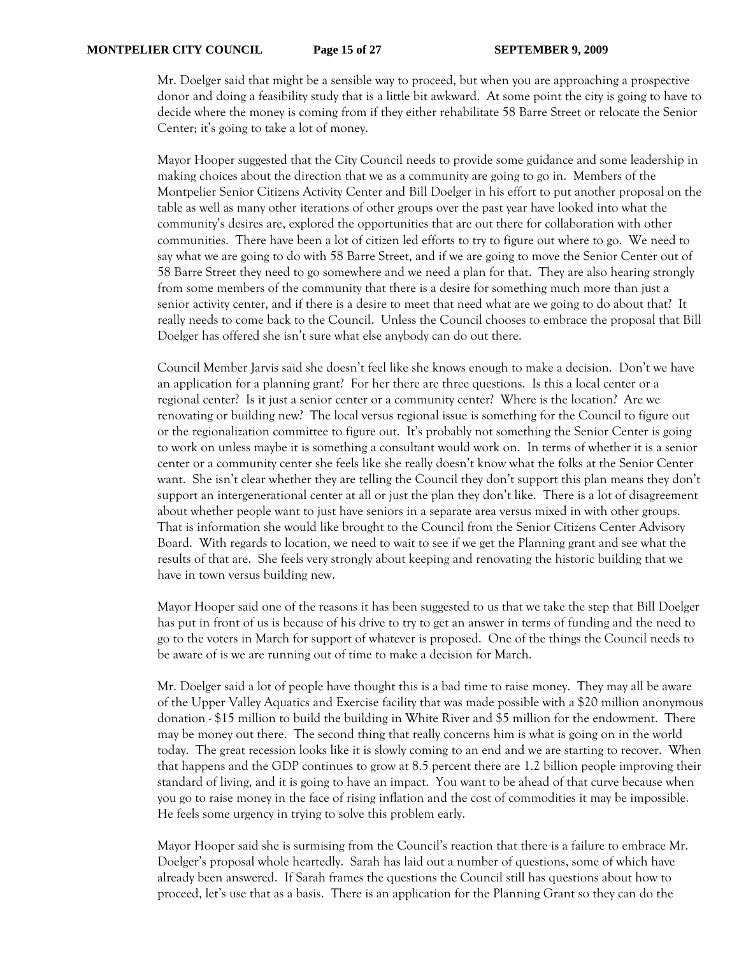Mr. Doelger said that might be a sensible way to proceed, but when you are approaching a prospective donor and doing a feasibility study that is a little bit awkward. At some point the city is going to have to decide where the money is coming from if they either rehabilitate 58 Barre Street or relocate the Senior Center; it's going to take a lot of money.

Mayor Hooper suggested that the City Council needs to provide some guidance and some leadership in making choices about the direction that we as a community are going to go in. Members of the Montpelier Senior Citizens Activity Center and Bill Doelger in his effort to put another proposal on the table as well as many other iterations of other groups over the past year have looked into what the community's desires are, explored the opportunities that are out there for collaboration with other communities. There have been a lot of citizen led efforts to try to figure out where to go. We need to say what we are going to do with 58 Barre Street, and if we are going to move the Senior Center out of 58 Barre Street they need to go somewhere and we need a plan for that. They are also hearing strongly from some members of the community that there is a desire for something much more than just a senior activity center, and if there is a desire to meet that need what are we going to do about that? It really needs to come back to the Council. Unless the Council chooses to embrace the proposal that Bill Doelger has offered she isn't sure what else anybody can do out there.

Council Member Jarvis said she doesn't feel like she knows enough to make a decision. Don't we have an application for a planning grant? For her there are three questions. Is this a local center or a regional center? Is it just a senior center or a community center? Where is the location? Are we renovating or building new? The local versus regional issue is something for the Council to figure out or the regionalization committee to figure out. It's probably not something the Senior Center is going to work on unless maybe it is something a consultant would work on. In terms of whether it is a senior center or a community center she feels like she really doesn't know what the folks at the Senior Center want. She isn't clear whether they are telling the Council they don't support this plan means they don't support an intergenerational center at all or just the plan they don't like. There is a lot of disagreement about whether people want to just have seniors in a separate area versus mixed in with other groups. That is information she would like brought to the Council from the Senior Citizens Center Advisory Board. With regards to location, we need to wait to see if we get the Planning grant and see what the results of that are. She feels very strongly about keeping and renovating the historic building that we have in town versus building new.

Mayor Hooper said one of the reasons it has been suggested to us that we take the step that Bill Doelger has put in front of us is because of his drive to try to get an answer in terms of funding and the need to go to the voters in March for support of whatever is proposed. One of the things the Council needs to be aware of is we are running out of time to make a decision for March.

Mr. Doelger said a lot of people have thought this is a bad time to raise money. They may all be aware of the Upper Valley Aquatics and Exercise facility that was made possible with a \$20 million anonymous donation - \$15 million to build the building in White River and \$5 million for the endowment. There may be money out there. The second thing that really concerns him is what is going on in the world today. The great recession looks like it is slowly coming to an end and we are starting to recover. When that happens and the GDP continues to grow at 8.5 percent there are 1.2 billion people improving their standard of living, and it is going to have an impact. You want to be ahead of that curve because when you go to raise money in the face of rising inflation and the cost of commodities it may be impossible. He feels some urgency in trying to solve this problem early.

Mayor Hooper said she is surmising from the Council's reaction that there is a failure to embrace Mr. Doelger's proposal whole heartedly. Sarah has laid out a number of questions, some of which have already been answered. If Sarah frames the questions the Council still has questions about how to proceed, let's use that as a basis. There is an application for the Planning Grant so they can do the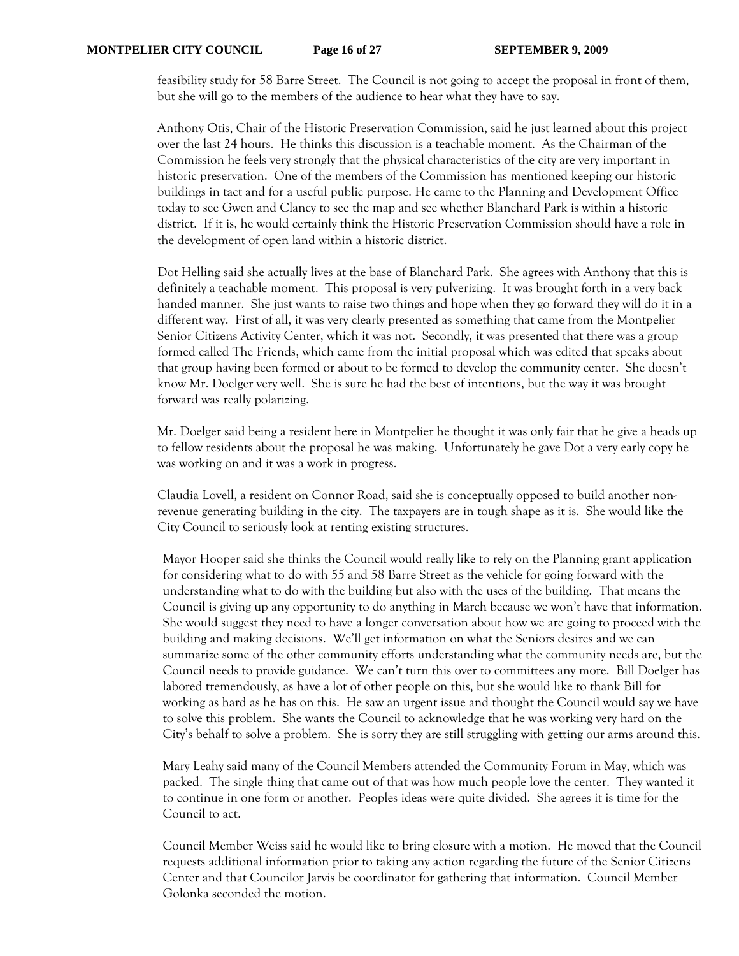feasibility study for 58 Barre Street. The Council is not going to accept the proposal in front of them, but she will go to the members of the audience to hear what they have to say.

Anthony Otis, Chair of the Historic Preservation Commission, said he just learned about this project over the last 24 hours. He thinks this discussion is a teachable moment. As the Chairman of the Commission he feels very strongly that the physical characteristics of the city are very important in historic preservation. One of the members of the Commission has mentioned keeping our historic buildings in tact and for a useful public purpose. He came to the Planning and Development Office today to see Gwen and Clancy to see the map and see whether Blanchard Park is within a historic district. If it is, he would certainly think the Historic Preservation Commission should have a role in the development of open land within a historic district.

Dot Helling said she actually lives at the base of Blanchard Park. She agrees with Anthony that this is definitely a teachable moment. This proposal is very pulverizing. It was brought forth in a very back handed manner. She just wants to raise two things and hope when they go forward they will do it in a different way. First of all, it was very clearly presented as something that came from the Montpelier Senior Citizens Activity Center, which it was not. Secondly, it was presented that there was a group formed called The Friends, which came from the initial proposal which was edited that speaks about that group having been formed or about to be formed to develop the community center. She doesn't know Mr. Doelger very well. She is sure he had the best of intentions, but the way it was brought forward was really polarizing.

Mr. Doelger said being a resident here in Montpelier he thought it was only fair that he give a heads up to fellow residents about the proposal he was making. Unfortunately he gave Dot a very early copy he was working on and it was a work in progress.

Claudia Lovell, a resident on Connor Road, said she is conceptually opposed to build another nonrevenue generating building in the city. The taxpayers are in tough shape as it is. She would like the City Council to seriously look at renting existing structures.

Mayor Hooper said she thinks the Council would really like to rely on the Planning grant application for considering what to do with 55 and 58 Barre Street as the vehicle for going forward with the understanding what to do with the building but also with the uses of the building. That means the Council is giving up any opportunity to do anything in March because we won't have that information. She would suggest they need to have a longer conversation about how we are going to proceed with the building and making decisions. We'll get information on what the Seniors desires and we can summarize some of the other community efforts understanding what the community needs are, but the Council needs to provide guidance. We can't turn this over to committees any more. Bill Doelger has labored tremendously, as have a lot of other people on this, but she would like to thank Bill for working as hard as he has on this. He saw an urgent issue and thought the Council would say we have to solve this problem. She wants the Council to acknowledge that he was working very hard on the City's behalf to solve a problem. She is sorry they are still struggling with getting our arms around this.

Mary Leahy said many of the Council Members attended the Community Forum in May, which was packed. The single thing that came out of that was how much people love the center. They wanted it to continue in one form or another. Peoples ideas were quite divided. She agrees it is time for the Council to act.

Council Member Weiss said he would like to bring closure with a motion. He moved that the Council requests additional information prior to taking any action regarding the future of the Senior Citizens Center and that Councilor Jarvis be coordinator for gathering that information. Council Member Golonka seconded the motion.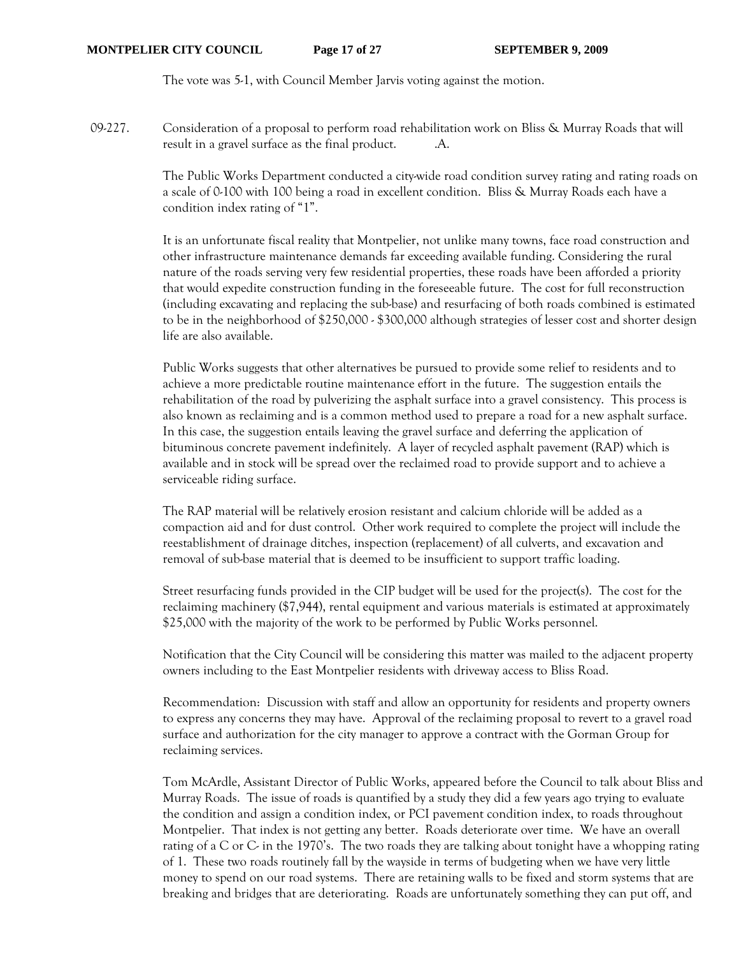The vote was 5-1, with Council Member Jarvis voting against the motion.

09-227. Consideration of a proposal to perform road rehabilitation work on Bliss & Murray Roads that will result in a gravel surface as the final product. A.

> The Public Works Department conducted a city-wide road condition survey rating and rating roads on a scale of 0-100 with 100 being a road in excellent condition. Bliss & Murray Roads each have a condition index rating of "1".

> It is an unfortunate fiscal reality that Montpelier, not unlike many towns, face road construction and other infrastructure maintenance demands far exceeding available funding. Considering the rural nature of the roads serving very few residential properties, these roads have been afforded a priority that would expedite construction funding in the foreseeable future. The cost for full reconstruction (including excavating and replacing the sub-base) and resurfacing of both roads combined is estimated to be in the neighborhood of \$250,000 - \$300,000 although strategies of lesser cost and shorter design life are also available.

Public Works suggests that other alternatives be pursued to provide some relief to residents and to achieve a more predictable routine maintenance effort in the future. The suggestion entails the rehabilitation of the road by pulverizing the asphalt surface into a gravel consistency. This process is also known as reclaiming and is a common method used to prepare a road for a new asphalt surface. In this case, the suggestion entails leaving the gravel surface and deferring the application of bituminous concrete pavement indefinitely. A layer of recycled asphalt pavement (RAP) which is available and in stock will be spread over the reclaimed road to provide support and to achieve a serviceable riding surface.

The RAP material will be relatively erosion resistant and calcium chloride will be added as a compaction aid and for dust control. Other work required to complete the project will include the reestablishment of drainage ditches, inspection (replacement) of all culverts, and excavation and removal of sub-base material that is deemed to be insufficient to support traffic loading.

Street resurfacing funds provided in the CIP budget will be used for the project(s). The cost for the reclaiming machinery (\$7,944), rental equipment and various materials is estimated at approximately \$25,000 with the majority of the work to be performed by Public Works personnel.

Notification that the City Council will be considering this matter was mailed to the adjacent property owners including to the East Montpelier residents with driveway access to Bliss Road.

Recommendation: Discussion with staff and allow an opportunity for residents and property owners to express any concerns they may have. Approval of the reclaiming proposal to revert to a gravel road surface and authorization for the city manager to approve a contract with the Gorman Group for reclaiming services.

Tom McArdle, Assistant Director of Public Works, appeared before the Council to talk about Bliss and Murray Roads. The issue of roads is quantified by a study they did a few years ago trying to evaluate the condition and assign a condition index, or PCI pavement condition index, to roads throughout Montpelier. That index is not getting any better. Roads deteriorate over time. We have an overall rating of a C or C- in the 1970's. The two roads they are talking about tonight have a whopping rating of 1. These two roads routinely fall by the wayside in terms of budgeting when we have very little money to spend on our road systems. There are retaining walls to be fixed and storm systems that are breaking and bridges that are deteriorating. Roads are unfortunately something they can put off, and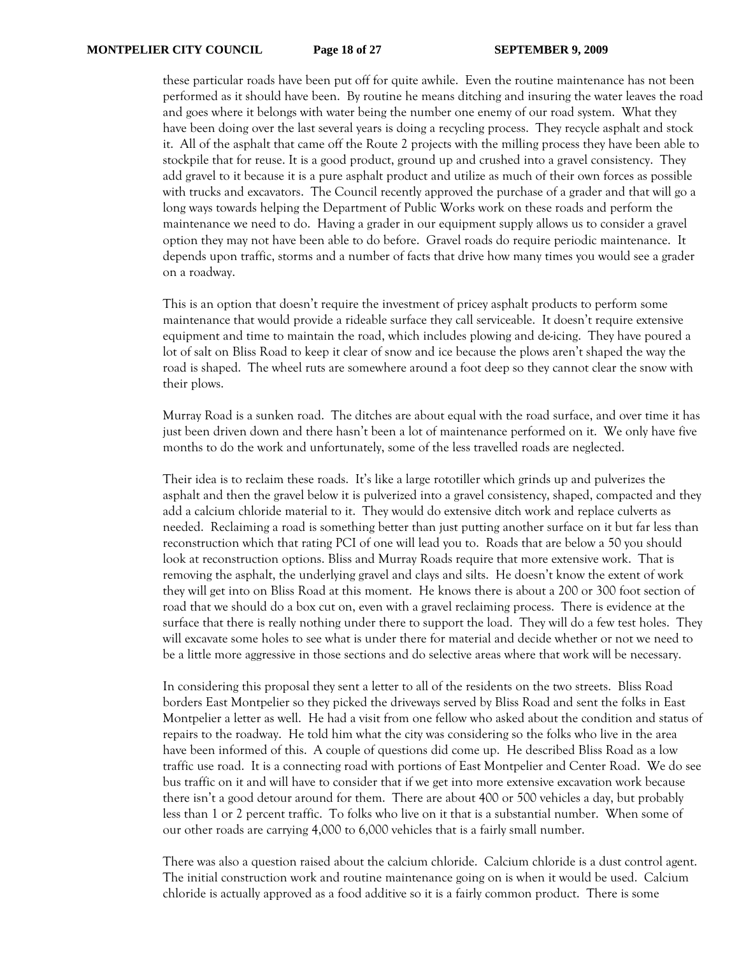these particular roads have been put off for quite awhile. Even the routine maintenance has not been performed as it should have been. By routine he means ditching and insuring the water leaves the road and goes where it belongs with water being the number one enemy of our road system. What they have been doing over the last several years is doing a recycling process. They recycle asphalt and stock it. All of the asphalt that came off the Route 2 projects with the milling process they have been able to stockpile that for reuse. It is a good product, ground up and crushed into a gravel consistency. They add gravel to it because it is a pure asphalt product and utilize as much of their own forces as possible with trucks and excavators. The Council recently approved the purchase of a grader and that will go a long ways towards helping the Department of Public Works work on these roads and perform the maintenance we need to do. Having a grader in our equipment supply allows us to consider a gravel option they may not have been able to do before. Gravel roads do require periodic maintenance. It depends upon traffic, storms and a number of facts that drive how many times you would see a grader on a roadway.

This is an option that doesn't require the investment of pricey asphalt products to perform some maintenance that would provide a rideable surface they call serviceable. It doesn't require extensive equipment and time to maintain the road, which includes plowing and de-icing. They have poured a lot of salt on Bliss Road to keep it clear of snow and ice because the plows aren't shaped the way the road is shaped. The wheel ruts are somewhere around a foot deep so they cannot clear the snow with their plows.

Murray Road is a sunken road. The ditches are about equal with the road surface, and over time it has just been driven down and there hasn't been a lot of maintenance performed on it. We only have five months to do the work and unfortunately, some of the less travelled roads are neglected.

Their idea is to reclaim these roads. It's like a large rototiller which grinds up and pulverizes the asphalt and then the gravel below it is pulverized into a gravel consistency, shaped, compacted and they add a calcium chloride material to it. They would do extensive ditch work and replace culverts as needed. Reclaiming a road is something better than just putting another surface on it but far less than reconstruction which that rating PCI of one will lead you to. Roads that are below a 50 you should look at reconstruction options. Bliss and Murray Roads require that more extensive work. That is removing the asphalt, the underlying gravel and clays and silts. He doesn't know the extent of work they will get into on Bliss Road at this moment. He knows there is about a 200 or 300 foot section of road that we should do a box cut on, even with a gravel reclaiming process. There is evidence at the surface that there is really nothing under there to support the load. They will do a few test holes. They will excavate some holes to see what is under there for material and decide whether or not we need to be a little more aggressive in those sections and do selective areas where that work will be necessary.

In considering this proposal they sent a letter to all of the residents on the two streets. Bliss Road borders East Montpelier so they picked the driveways served by Bliss Road and sent the folks in East Montpelier a letter as well. He had a visit from one fellow who asked about the condition and status of repairs to the roadway. He told him what the city was considering so the folks who live in the area have been informed of this. A couple of questions did come up. He described Bliss Road as a low traffic use road. It is a connecting road with portions of East Montpelier and Center Road. We do see bus traffic on it and will have to consider that if we get into more extensive excavation work because there isn't a good detour around for them. There are about 400 or 500 vehicles a day, but probably less than 1 or 2 percent traffic. To folks who live on it that is a substantial number. When some of our other roads are carrying 4,000 to 6,000 vehicles that is a fairly small number.

There was also a question raised about the calcium chloride. Calcium chloride is a dust control agent. The initial construction work and routine maintenance going on is when it would be used. Calcium chloride is actually approved as a food additive so it is a fairly common product. There is some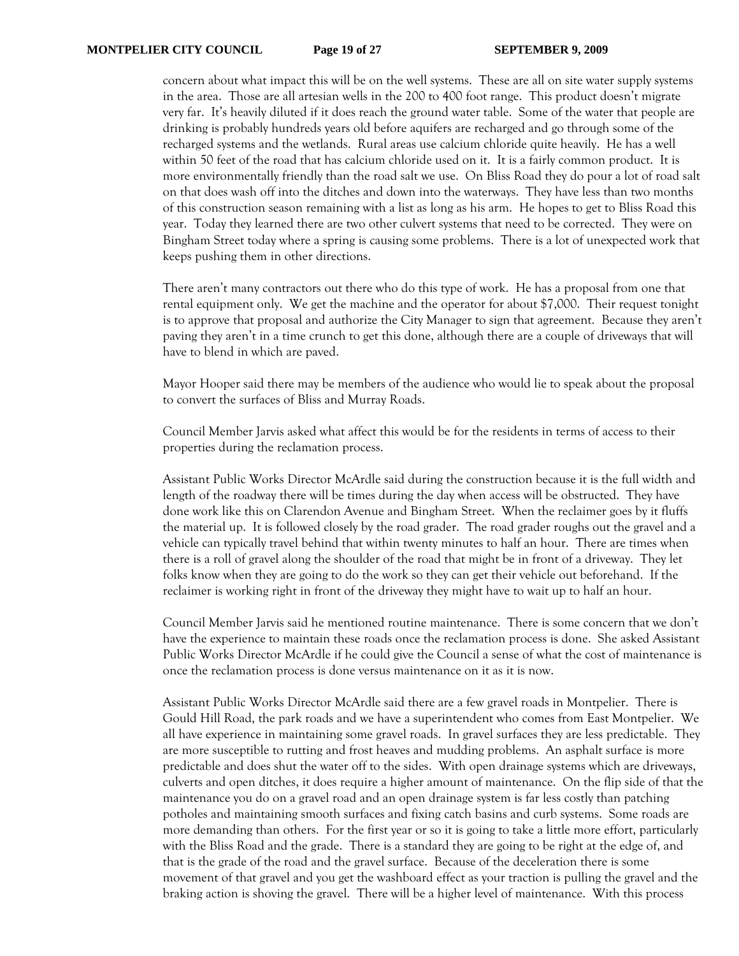concern about what impact this will be on the well systems. These are all on site water supply systems in the area. Those are all artesian wells in the 200 to 400 foot range. This product doesn't migrate very far. It's heavily diluted if it does reach the ground water table. Some of the water that people are drinking is probably hundreds years old before aquifers are recharged and go through some of the recharged systems and the wetlands. Rural areas use calcium chloride quite heavily. He has a well within 50 feet of the road that has calcium chloride used on it. It is a fairly common product. It is more environmentally friendly than the road salt we use. On Bliss Road they do pour a lot of road salt on that does wash off into the ditches and down into the waterways. They have less than two months of this construction season remaining with a list as long as his arm. He hopes to get to Bliss Road this year. Today they learned there are two other culvert systems that need to be corrected. They were on Bingham Street today where a spring is causing some problems. There is a lot of unexpected work that keeps pushing them in other directions.

There aren't many contractors out there who do this type of work. He has a proposal from one that rental equipment only. We get the machine and the operator for about \$7,000. Their request tonight is to approve that proposal and authorize the City Manager to sign that agreement. Because they aren't paving they aren't in a time crunch to get this done, although there are a couple of driveways that will have to blend in which are paved.

Mayor Hooper said there may be members of the audience who would lie to speak about the proposal to convert the surfaces of Bliss and Murray Roads.

Council Member Jarvis asked what affect this would be for the residents in terms of access to their properties during the reclamation process.

Assistant Public Works Director McArdle said during the construction because it is the full width and length of the roadway there will be times during the day when access will be obstructed. They have done work like this on Clarendon Avenue and Bingham Street. When the reclaimer goes by it fluffs the material up. It is followed closely by the road grader. The road grader roughs out the gravel and a vehicle can typically travel behind that within twenty minutes to half an hour. There are times when there is a roll of gravel along the shoulder of the road that might be in front of a driveway. They let folks know when they are going to do the work so they can get their vehicle out beforehand. If the reclaimer is working right in front of the driveway they might have to wait up to half an hour.

Council Member Jarvis said he mentioned routine maintenance. There is some concern that we don't have the experience to maintain these roads once the reclamation process is done. She asked Assistant Public Works Director McArdle if he could give the Council a sense of what the cost of maintenance is once the reclamation process is done versus maintenance on it as it is now.

Assistant Public Works Director McArdle said there are a few gravel roads in Montpelier. There is Gould Hill Road, the park roads and we have a superintendent who comes from East Montpelier. We all have experience in maintaining some gravel roads. In gravel surfaces they are less predictable. They are more susceptible to rutting and frost heaves and mudding problems. An asphalt surface is more predictable and does shut the water off to the sides. With open drainage systems which are driveways, culverts and open ditches, it does require a higher amount of maintenance. On the flip side of that the maintenance you do on a gravel road and an open drainage system is far less costly than patching potholes and maintaining smooth surfaces and fixing catch basins and curb systems. Some roads are more demanding than others. For the first year or so it is going to take a little more effort, particularly with the Bliss Road and the grade. There is a standard they are going to be right at the edge of, and that is the grade of the road and the gravel surface. Because of the deceleration there is some movement of that gravel and you get the washboard effect as your traction is pulling the gravel and the braking action is shoving the gravel. There will be a higher level of maintenance. With this process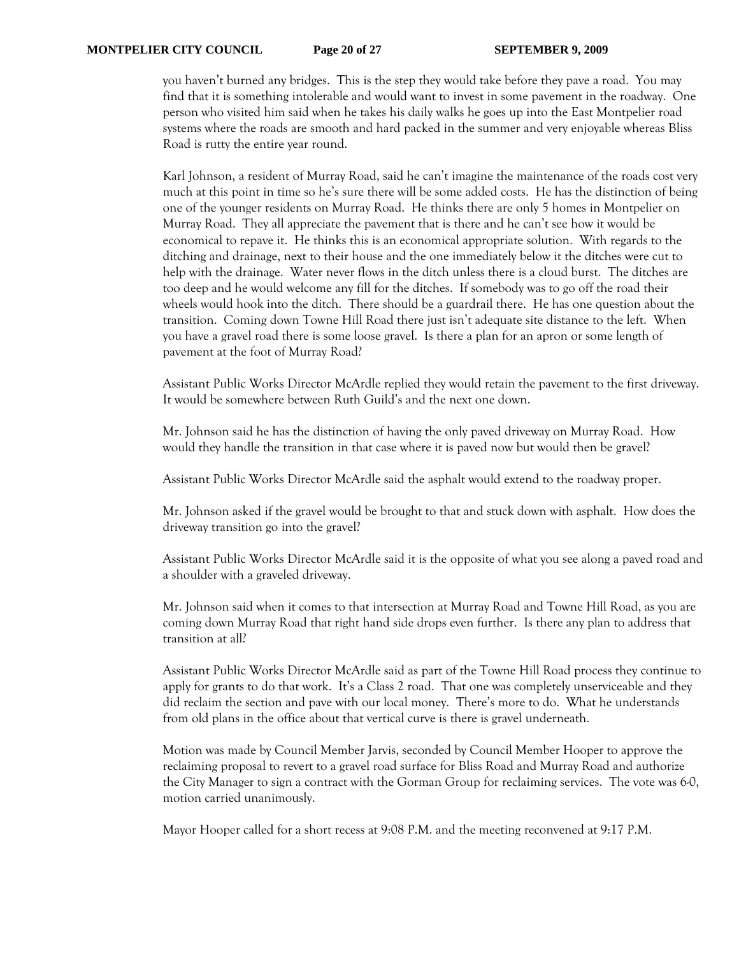you haven't burned any bridges. This is the step they would take before they pave a road. You may find that it is something intolerable and would want to invest in some pavement in the roadway. One person who visited him said when he takes his daily walks he goes up into the East Montpelier road systems where the roads are smooth and hard packed in the summer and very enjoyable whereas Bliss Road is rutty the entire year round.

Karl Johnson, a resident of Murray Road, said he can't imagine the maintenance of the roads cost very much at this point in time so he's sure there will be some added costs. He has the distinction of being one of the younger residents on Murray Road. He thinks there are only 5 homes in Montpelier on Murray Road. They all appreciate the pavement that is there and he can't see how it would be economical to repave it. He thinks this is an economical appropriate solution. With regards to the ditching and drainage, next to their house and the one immediately below it the ditches were cut to help with the drainage. Water never flows in the ditch unless there is a cloud burst. The ditches are too deep and he would welcome any fill for the ditches. If somebody was to go off the road their wheels would hook into the ditch. There should be a guardrail there. He has one question about the transition. Coming down Towne Hill Road there just isn't adequate site distance to the left. When you have a gravel road there is some loose gravel. Is there a plan for an apron or some length of pavement at the foot of Murray Road?

Assistant Public Works Director McArdle replied they would retain the pavement to the first driveway. It would be somewhere between Ruth Guild's and the next one down.

Mr. Johnson said he has the distinction of having the only paved driveway on Murray Road. How would they handle the transition in that case where it is paved now but would then be gravel?

Assistant Public Works Director McArdle said the asphalt would extend to the roadway proper.

Mr. Johnson asked if the gravel would be brought to that and stuck down with asphalt. How does the driveway transition go into the gravel?

Assistant Public Works Director McArdle said it is the opposite of what you see along a paved road and a shoulder with a graveled driveway.

Mr. Johnson said when it comes to that intersection at Murray Road and Towne Hill Road, as you are coming down Murray Road that right hand side drops even further. Is there any plan to address that transition at all?

Assistant Public Works Director McArdle said as part of the Towne Hill Road process they continue to apply for grants to do that work. It's a Class 2 road. That one was completely unserviceable and they did reclaim the section and pave with our local money. There's more to do. What he understands from old plans in the office about that vertical curve is there is gravel underneath.

Motion was made by Council Member Jarvis, seconded by Council Member Hooper to approve the reclaiming proposal to revert to a gravel road surface for Bliss Road and Murray Road and authorize the City Manager to sign a contract with the Gorman Group for reclaiming services. The vote was 6-0, motion carried unanimously.

Mayor Hooper called for a short recess at 9:08 P.M. and the meeting reconvened at 9:17 P.M.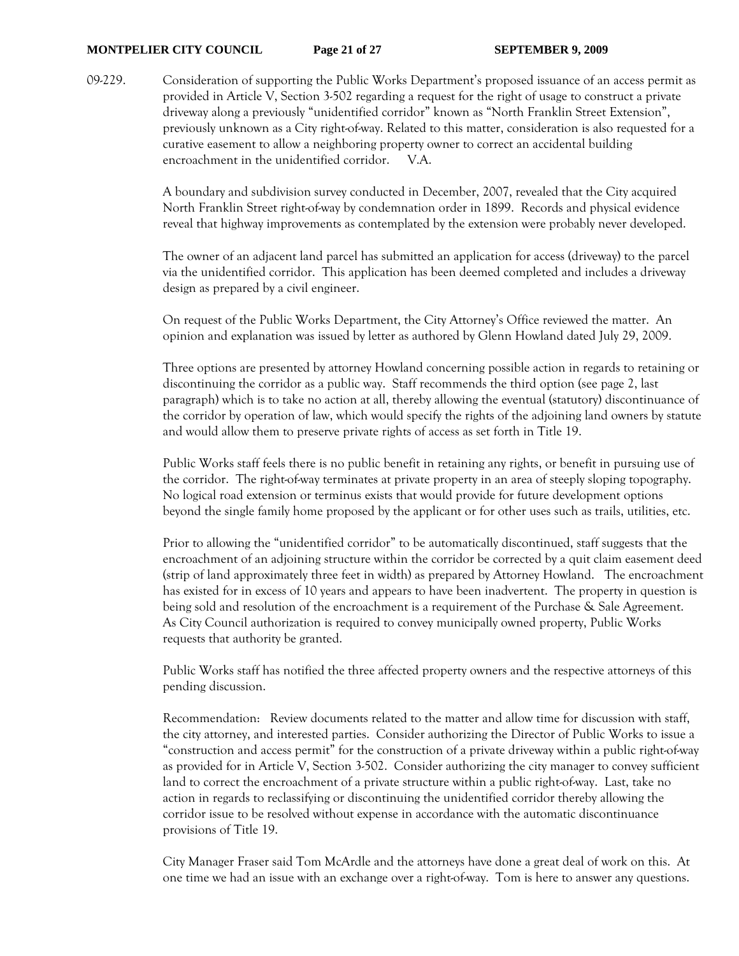#### **MONTPELIER CITY COUNCIL Page 21 of 27 SEPTEMBER 9, 2009**

09-229. Consideration of supporting the Public Works Department's proposed issuance of an access permit as provided in Article V, Section 3-502 regarding a request for the right of usage to construct a private driveway along a previously "unidentified corridor" known as "North Franklin Street Extension", previously unknown as a City right-of-way. Related to this matter, consideration is also requested for a curative easement to allow a neighboring property owner to correct an accidental building encroachment in the unidentified corridor. V.A.

> A boundary and subdivision survey conducted in December, 2007, revealed that the City acquired North Franklin Street right-of-way by condemnation order in 1899. Records and physical evidence reveal that highway improvements as contemplated by the extension were probably never developed.

> The owner of an adjacent land parcel has submitted an application for access (driveway) to the parcel via the unidentified corridor. This application has been deemed completed and includes a driveway design as prepared by a civil engineer.

On request of the Public Works Department, the City Attorney's Office reviewed the matter. An opinion and explanation was issued by letter as authored by Glenn Howland dated July 29, 2009.

Three options are presented by attorney Howland concerning possible action in regards to retaining or discontinuing the corridor as a public way. Staff recommends the third option (see page 2, last paragraph) which is to take no action at all, thereby allowing the eventual (statutory) discontinuance of the corridor by operation of law, which would specify the rights of the adjoining land owners by statute and would allow them to preserve private rights of access as set forth in Title 19.

Public Works staff feels there is no public benefit in retaining any rights, or benefit in pursuing use of the corridor. The right-of-way terminates at private property in an area of steeply sloping topography. No logical road extension or terminus exists that would provide for future development options beyond the single family home proposed by the applicant or for other uses such as trails, utilities, etc.

Prior to allowing the "unidentified corridor" to be automatically discontinued, staff suggests that the encroachment of an adjoining structure within the corridor be corrected by a quit claim easement deed (strip of land approximately three feet in width) as prepared by Attorney Howland. The encroachment has existed for in excess of 10 years and appears to have been inadvertent. The property in question is being sold and resolution of the encroachment is a requirement of the Purchase & Sale Agreement. As City Council authorization is required to convey municipally owned property, Public Works requests that authority be granted.

Public Works staff has notified the three affected property owners and the respective attorneys of this pending discussion.

Recommendation: Review documents related to the matter and allow time for discussion with staff, the city attorney, and interested parties. Consider authorizing the Director of Public Works to issue a "construction and access permit" for the construction of a private driveway within a public right-of-way as provided for in Article V, Section 3-502. Consider authorizing the city manager to convey sufficient land to correct the encroachment of a private structure within a public right-of-way. Last, take no action in regards to reclassifying or discontinuing the unidentified corridor thereby allowing the corridor issue to be resolved without expense in accordance with the automatic discontinuance provisions of Title 19.

City Manager Fraser said Tom McArdle and the attorneys have done a great deal of work on this. At one time we had an issue with an exchange over a right-of-way. Tom is here to answer any questions.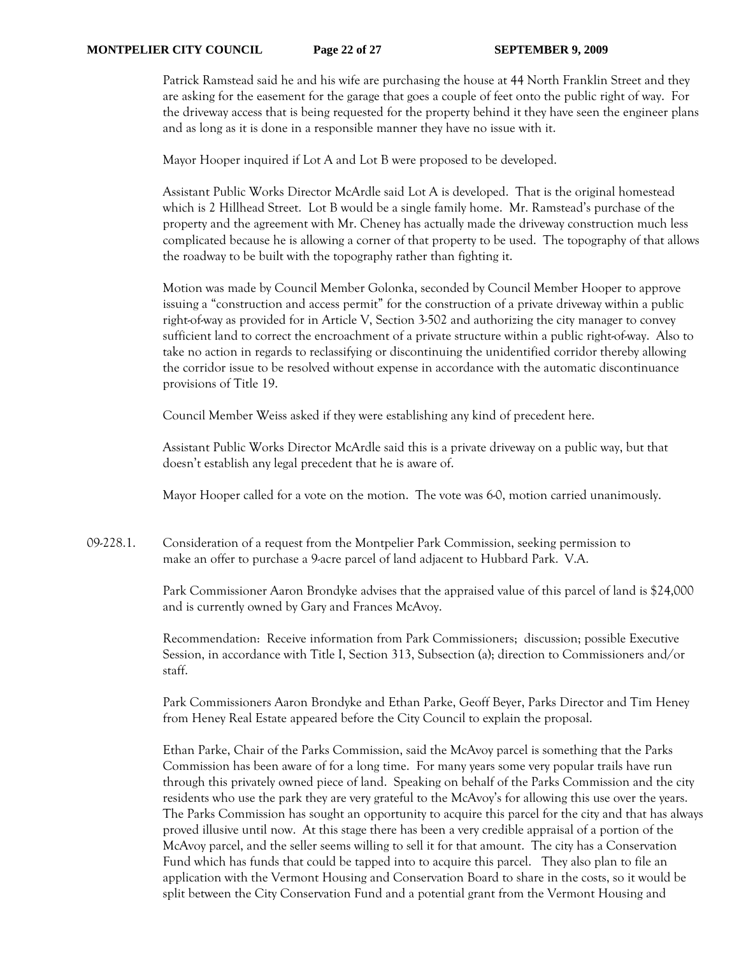Patrick Ramstead said he and his wife are purchasing the house at 44 North Franklin Street and they are asking for the easement for the garage that goes a couple of feet onto the public right of way. For the driveway access that is being requested for the property behind it they have seen the engineer plans and as long as it is done in a responsible manner they have no issue with it.

Mayor Hooper inquired if Lot A and Lot B were proposed to be developed.

Assistant Public Works Director McArdle said Lot A is developed. That is the original homestead which is 2 Hillhead Street. Lot B would be a single family home. Mr. Ramstead's purchase of the property and the agreement with Mr. Cheney has actually made the driveway construction much less complicated because he is allowing a corner of that property to be used. The topography of that allows the roadway to be built with the topography rather than fighting it.

Motion was made by Council Member Golonka, seconded by Council Member Hooper to approve issuing a "construction and access permit" for the construction of a private driveway within a public right-of-way as provided for in Article V, Section 3-502 and authorizing the city manager to convey sufficient land to correct the encroachment of a private structure within a public right-of-way. Also to take no action in regards to reclassifying or discontinuing the unidentified corridor thereby allowing the corridor issue to be resolved without expense in accordance with the automatic discontinuance provisions of Title 19.

Council Member Weiss asked if they were establishing any kind of precedent here.

Assistant Public Works Director McArdle said this is a private driveway on a public way, but that doesn't establish any legal precedent that he is aware of.

Mayor Hooper called for a vote on the motion. The vote was 6-0, motion carried unanimously.

09-228.1. Consideration of a request from the Montpelier Park Commission, seeking permission to make an offer to purchase a 9-acre parcel of land adjacent to Hubbard Park. V.A.

> Park Commissioner Aaron Brondyke advises that the appraised value of this parcel of land is \$24,000 and is currently owned by Gary and Frances McAvoy.

 Recommendation: Receive information from Park Commissioners; discussion; possible Executive Session, in accordance with Title I, Section 313, Subsection (a); direction to Commissioners and/or staff.

Park Commissioners Aaron Brondyke and Ethan Parke, Geoff Beyer, Parks Director and Tim Heney from Heney Real Estate appeared before the City Council to explain the proposal.

Ethan Parke, Chair of the Parks Commission, said the McAvoy parcel is something that the Parks Commission has been aware of for a long time. For many years some very popular trails have run through this privately owned piece of land. Speaking on behalf of the Parks Commission and the city residents who use the park they are very grateful to the McAvoy's for allowing this use over the years. The Parks Commission has sought an opportunity to acquire this parcel for the city and that has always proved illusive until now. At this stage there has been a very credible appraisal of a portion of the McAvoy parcel, and the seller seems willing to sell it for that amount. The city has a Conservation Fund which has funds that could be tapped into to acquire this parcel. They also plan to file an application with the Vermont Housing and Conservation Board to share in the costs, so it would be split between the City Conservation Fund and a potential grant from the Vermont Housing and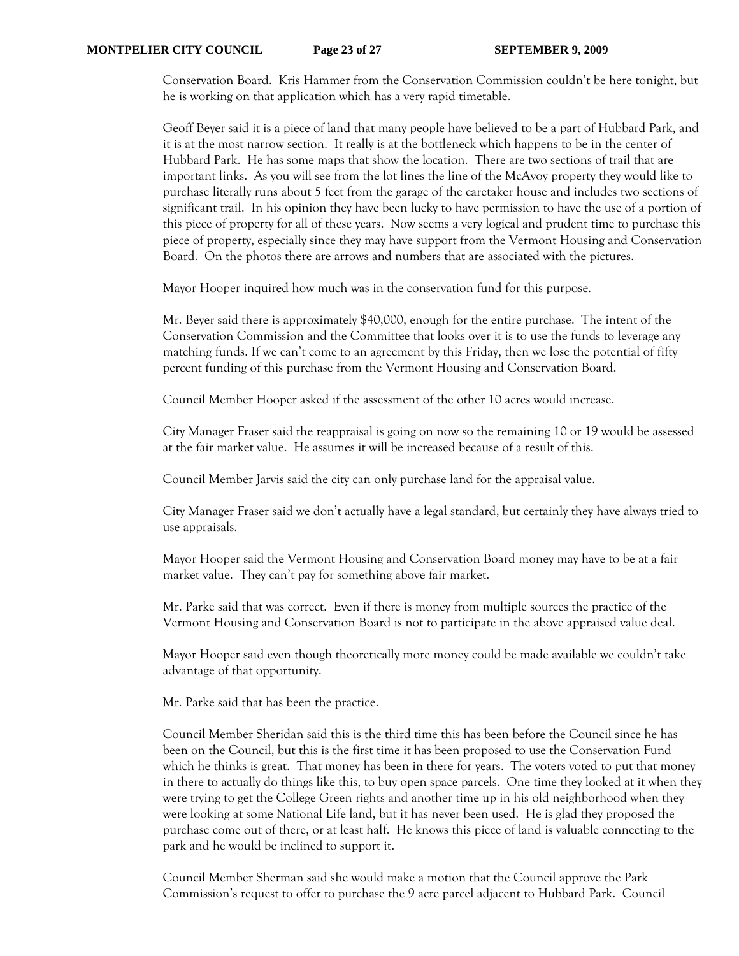Conservation Board. Kris Hammer from the Conservation Commission couldn't be here tonight, but he is working on that application which has a very rapid timetable.

Geoff Beyer said it is a piece of land that many people have believed to be a part of Hubbard Park, and it is at the most narrow section. It really is at the bottleneck which happens to be in the center of Hubbard Park. He has some maps that show the location. There are two sections of trail that are important links. As you will see from the lot lines the line of the McAvoy property they would like to purchase literally runs about 5 feet from the garage of the caretaker house and includes two sections of significant trail. In his opinion they have been lucky to have permission to have the use of a portion of this piece of property for all of these years. Now seems a very logical and prudent time to purchase this piece of property, especially since they may have support from the Vermont Housing and Conservation Board. On the photos there are arrows and numbers that are associated with the pictures.

Mayor Hooper inquired how much was in the conservation fund for this purpose.

Mr. Beyer said there is approximately \$40,000, enough for the entire purchase. The intent of the Conservation Commission and the Committee that looks over it is to use the funds to leverage any matching funds. If we can't come to an agreement by this Friday, then we lose the potential of fifty percent funding of this purchase from the Vermont Housing and Conservation Board.

Council Member Hooper asked if the assessment of the other 10 acres would increase.

City Manager Fraser said the reappraisal is going on now so the remaining 10 or 19 would be assessed at the fair market value. He assumes it will be increased because of a result of this.

Council Member Jarvis said the city can only purchase land for the appraisal value.

City Manager Fraser said we don't actually have a legal standard, but certainly they have always tried to use appraisals.

Mayor Hooper said the Vermont Housing and Conservation Board money may have to be at a fair market value. They can't pay for something above fair market.

Mr. Parke said that was correct. Even if there is money from multiple sources the practice of the Vermont Housing and Conservation Board is not to participate in the above appraised value deal.

Mayor Hooper said even though theoretically more money could be made available we couldn't take advantage of that opportunity.

Mr. Parke said that has been the practice.

Council Member Sheridan said this is the third time this has been before the Council since he has been on the Council, but this is the first time it has been proposed to use the Conservation Fund which he thinks is great. That money has been in there for years. The voters voted to put that money in there to actually do things like this, to buy open space parcels. One time they looked at it when they were trying to get the College Green rights and another time up in his old neighborhood when they were looking at some National Life land, but it has never been used. He is glad they proposed the purchase come out of there, or at least half. He knows this piece of land is valuable connecting to the park and he would be inclined to support it.

Council Member Sherman said she would make a motion that the Council approve the Park Commission's request to offer to purchase the 9 acre parcel adjacent to Hubbard Park. Council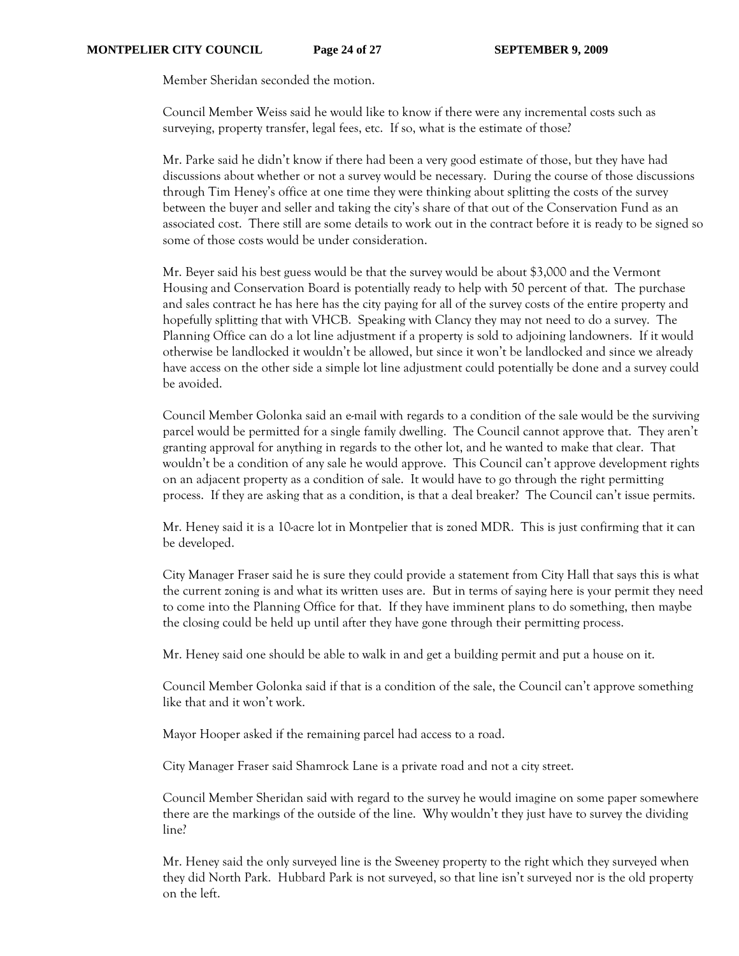Member Sheridan seconded the motion.

Council Member Weiss said he would like to know if there were any incremental costs such as surveying, property transfer, legal fees, etc. If so, what is the estimate of those?

Mr. Parke said he didn't know if there had been a very good estimate of those, but they have had discussions about whether or not a survey would be necessary. During the course of those discussions through Tim Heney's office at one time they were thinking about splitting the costs of the survey between the buyer and seller and taking the city's share of that out of the Conservation Fund as an associated cost. There still are some details to work out in the contract before it is ready to be signed so some of those costs would be under consideration.

Mr. Beyer said his best guess would be that the survey would be about \$3,000 and the Vermont Housing and Conservation Board is potentially ready to help with 50 percent of that. The purchase and sales contract he has here has the city paying for all of the survey costs of the entire property and hopefully splitting that with VHCB. Speaking with Clancy they may not need to do a survey. The Planning Office can do a lot line adjustment if a property is sold to adjoining landowners. If it would otherwise be landlocked it wouldn't be allowed, but since it won't be landlocked and since we already have access on the other side a simple lot line adjustment could potentially be done and a survey could be avoided.

Council Member Golonka said an e-mail with regards to a condition of the sale would be the surviving parcel would be permitted for a single family dwelling. The Council cannot approve that. They aren't granting approval for anything in regards to the other lot, and he wanted to make that clear. That wouldn't be a condition of any sale he would approve. This Council can't approve development rights on an adjacent property as a condition of sale. It would have to go through the right permitting process. If they are asking that as a condition, is that a deal breaker? The Council can't issue permits.

Mr. Heney said it is a 10-acre lot in Montpelier that is zoned MDR. This is just confirming that it can be developed.

City Manager Fraser said he is sure they could provide a statement from City Hall that says this is what the current zoning is and what its written uses are. But in terms of saying here is your permit they need to come into the Planning Office for that. If they have imminent plans to do something, then maybe the closing could be held up until after they have gone through their permitting process.

Mr. Heney said one should be able to walk in and get a building permit and put a house on it.

Council Member Golonka said if that is a condition of the sale, the Council can't approve something like that and it won't work.

Mayor Hooper asked if the remaining parcel had access to a road.

City Manager Fraser said Shamrock Lane is a private road and not a city street.

Council Member Sheridan said with regard to the survey he would imagine on some paper somewhere there are the markings of the outside of the line. Why wouldn't they just have to survey the dividing line?

Mr. Heney said the only surveyed line is the Sweeney property to the right which they surveyed when they did North Park. Hubbard Park is not surveyed, so that line isn't surveyed nor is the old property on the left.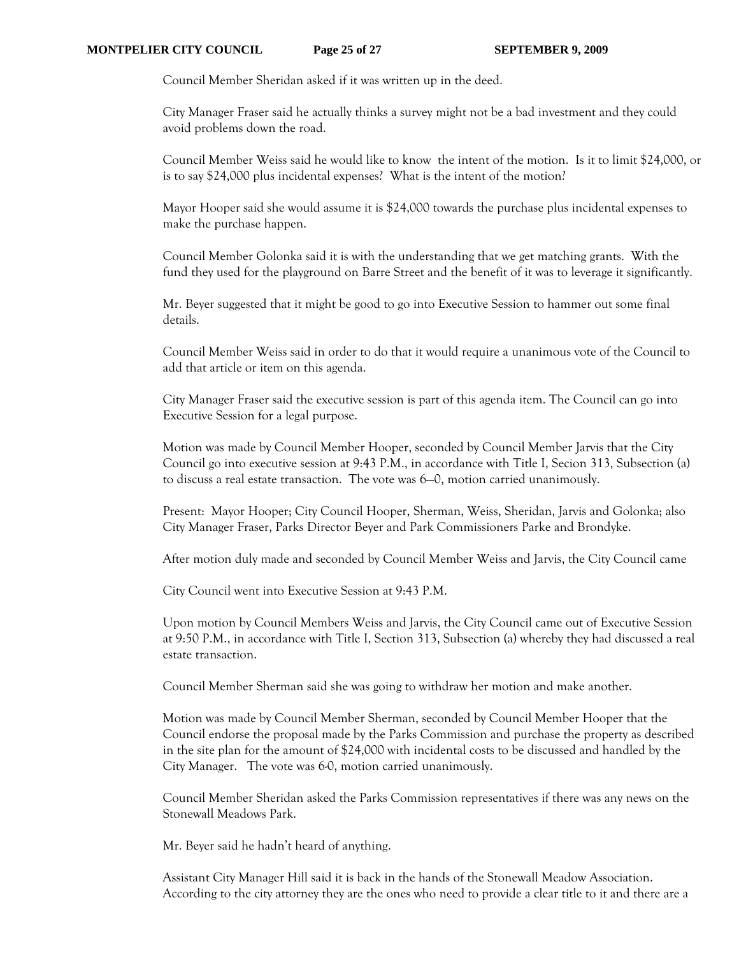Council Member Sheridan asked if it was written up in the deed.

City Manager Fraser said he actually thinks a survey might not be a bad investment and they could avoid problems down the road.

Council Member Weiss said he would like to know the intent of the motion. Is it to limit \$24,000, or is to say \$24,000 plus incidental expenses? What is the intent of the motion?

Mayor Hooper said she would assume it is \$24,000 towards the purchase plus incidental expenses to make the purchase happen.

Council Member Golonka said it is with the understanding that we get matching grants. With the fund they used for the playground on Barre Street and the benefit of it was to leverage it significantly.

Mr. Beyer suggested that it might be good to go into Executive Session to hammer out some final details.

Council Member Weiss said in order to do that it would require a unanimous vote of the Council to add that article or item on this agenda.

City Manager Fraser said the executive session is part of this agenda item. The Council can go into Executive Session for a legal purpose.

Motion was made by Council Member Hooper, seconded by Council Member Jarvis that the City Council go into executive session at 9:43 P.M., in accordance with Title I, Secion 313, Subsection (a) to discuss a real estate transaction. The vote was 6—0, motion carried unanimously.

Present: Mayor Hooper; City Council Hooper, Sherman, Weiss, Sheridan, Jarvis and Golonka; also City Manager Fraser, Parks Director Beyer and Park Commissioners Parke and Brondyke.

After motion duly made and seconded by Council Member Weiss and Jarvis, the City Council came

City Council went into Executive Session at 9:43 P.M.

Upon motion by Council Members Weiss and Jarvis, the City Council came out of Executive Session at 9:50 P.M., in accordance with Title I, Section 313, Subsection (a) whereby they had discussed a real estate transaction.

Council Member Sherman said she was going to withdraw her motion and make another.

Motion was made by Council Member Sherman, seconded by Council Member Hooper that the Council endorse the proposal made by the Parks Commission and purchase the property as described in the site plan for the amount of \$24,000 with incidental costs to be discussed and handled by the City Manager. The vote was 6-0, motion carried unanimously.

Council Member Sheridan asked the Parks Commission representatives if there was any news on the Stonewall Meadows Park.

Mr. Beyer said he hadn't heard of anything.

Assistant City Manager Hill said it is back in the hands of the Stonewall Meadow Association. According to the city attorney they are the ones who need to provide a clear title to it and there are a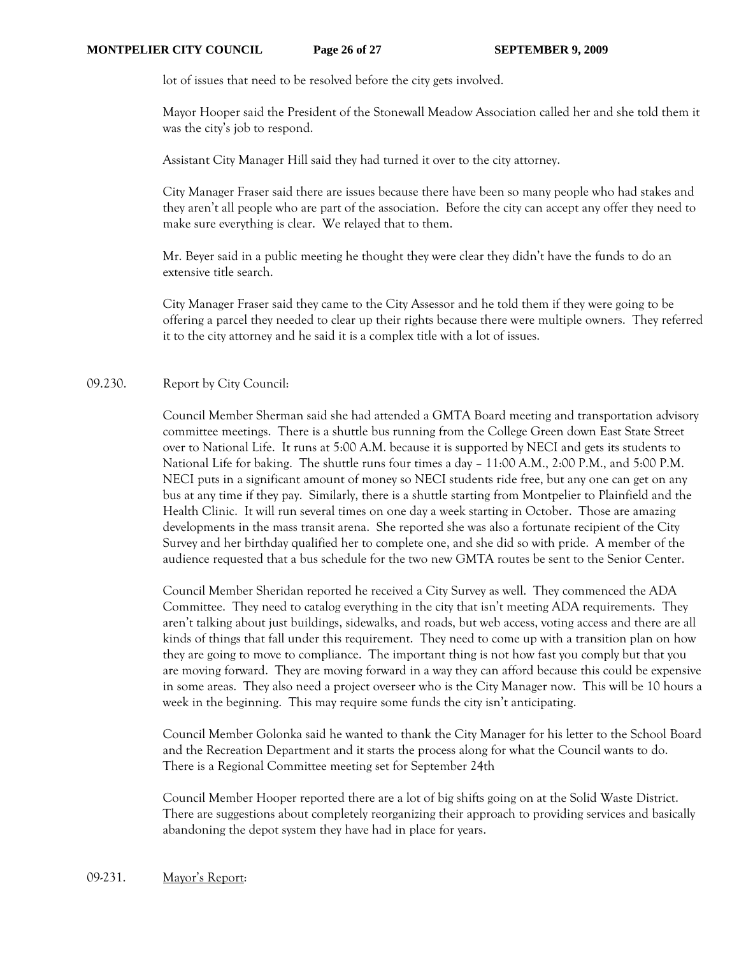lot of issues that need to be resolved before the city gets involved.

Mayor Hooper said the President of the Stonewall Meadow Association called her and she told them it was the city's job to respond.

Assistant City Manager Hill said they had turned it over to the city attorney.

City Manager Fraser said there are issues because there have been so many people who had stakes and they aren't all people who are part of the association. Before the city can accept any offer they need to make sure everything is clear. We relayed that to them.

Mr. Beyer said in a public meeting he thought they were clear they didn't have the funds to do an extensive title search.

City Manager Fraser said they came to the City Assessor and he told them if they were going to be offering a parcel they needed to clear up their rights because there were multiple owners. They referred it to the city attorney and he said it is a complex title with a lot of issues.

## 09.230. Report by City Council:

Council Member Sherman said she had attended a GMTA Board meeting and transportation advisory committee meetings. There is a shuttle bus running from the College Green down East State Street over to National Life. It runs at 5:00 A.M. because it is supported by NECI and gets its students to National Life for baking. The shuttle runs four times a day – 11:00 A.M., 2:00 P.M., and 5:00 P.M. NECI puts in a significant amount of money so NECI students ride free, but any one can get on any bus at any time if they pay. Similarly, there is a shuttle starting from Montpelier to Plainfield and the Health Clinic. It will run several times on one day a week starting in October. Those are amazing developments in the mass transit arena. She reported she was also a fortunate recipient of the City Survey and her birthday qualified her to complete one, and she did so with pride. A member of the audience requested that a bus schedule for the two new GMTA routes be sent to the Senior Center.

Council Member Sheridan reported he received a City Survey as well. They commenced the ADA Committee. They need to catalog everything in the city that isn't meeting ADA requirements. They aren't talking about just buildings, sidewalks, and roads, but web access, voting access and there are all kinds of things that fall under this requirement. They need to come up with a transition plan on how they are going to move to compliance. The important thing is not how fast you comply but that you are moving forward. They are moving forward in a way they can afford because this could be expensive in some areas. They also need a project overseer who is the City Manager now. This will be 10 hours a week in the beginning. This may require some funds the city isn't anticipating.

Council Member Golonka said he wanted to thank the City Manager for his letter to the School Board and the Recreation Department and it starts the process along for what the Council wants to do. There is a Regional Committee meeting set for September 24th

Council Member Hooper reported there are a lot of big shifts going on at the Solid Waste District. There are suggestions about completely reorganizing their approach to providing services and basically abandoning the depot system they have had in place for years.

## 09-231. Mayor's Report: